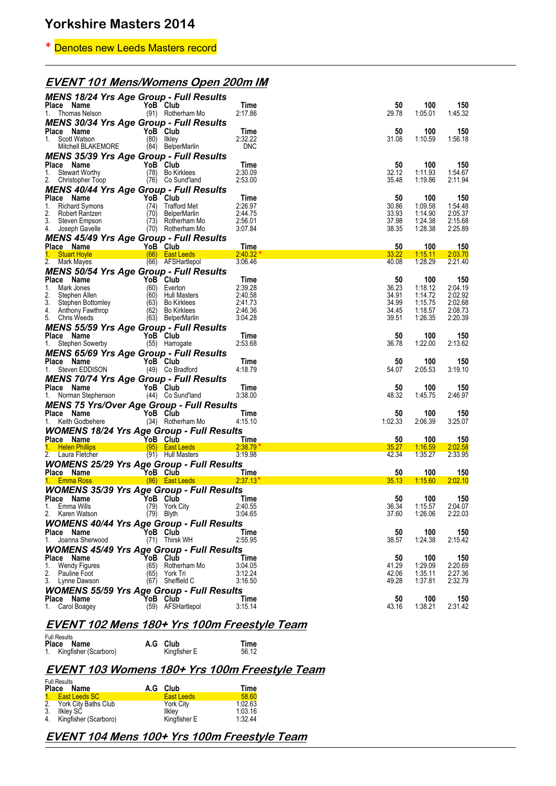## \* Denotes new Leeds Masters record

## **EVENT 101 Mens/Womens Open 200m IM**

| <b>MENS 18/24 Yrs Age Group - Full Results</b>                 |              |                                   |                    |                |                    |                    |
|----------------------------------------------------------------|--------------|-----------------------------------|--------------------|----------------|--------------------|--------------------|
| Place Name<br>1. Thomas Nelson                                 |              | YoB Club<br>(91) Rotherham Mo     | Time<br>2:17.86    | 50<br>29.78    | 100<br>1:05.01     | 150<br>1:45.32     |
| MENS 30/34 Yrs Age Group - Full Results                        |              |                                   |                    |                |                    |                    |
| Place Name                                                     |              | YoB Club                          | Time               | 50             | 100                | 150                |
| 1. Scott Watson                                                |              | (80) Ilkley                       | 2:32.22            | 31.08          | 1:10.59            | 1:56.18            |
| Mitchell BLAKEMORE                                             |              | (84) BelperMarlin                 | <b>DNC</b>         |                |                    |                    |
| <b>MENS 35/39 Yrs Age Group - Full Results</b><br>Place Name   |              | YoB Club                          | Time               | 50             | 100                | 150                |
| 1. Stewart Worthy                                              |              | (78) Bo Kirklees                  | 2:30.09            | 32.12          | 1:11.93            | 1:54.67            |
| 2. Christopher Toop                                            |              | (76) Co Sund'land                 | 2:53.00            | 35.48          | 1:19.86            | 2:11.94            |
| <b>MENS 40/44 Yrs Age Group - Full Results</b>                 |              |                                   |                    |                |                    |                    |
| Place Name<br>1.<br>Richard Symons                             |              | YoB Club<br>(74) Trafford Met     | Time<br>2:26.97    | 50<br>30.86    | 100<br>1:09.58     | 150<br>1:54.48     |
| 2.<br>Robert Rantzen                                           |              | (70) BelperMarlin                 | 2:44.75            | 33.93          | 1:14.90            | 2:05.37            |
| 3. Steven Empson                                               |              | (73) Rotherham Mo                 | 2:56.01            | 37.98          | 1:24.38            | 2:15.68            |
| 4. Joseph Gavelle                                              |              | (70) Rotherham Mo                 | 3:07.84            | 38.35          | 1:28.38            | 2:25.89            |
| <b>MENS 45/49 Yrs Age Group - Full Results</b><br>Place Name   |              | YoB Club                          | Time               | 50             | 100                | 150                |
| 1. Stuart Hoyle                                                |              | <b>East Leeds</b> (66) East Leeds | 2:40.32            | 33.22          | 1:15.11            | 2:03.70            |
| 2. Mark Mayes                                                  |              | (66) AFSHartlepol                 | 3:06.46            | 40.08          | 1:28.29            | 2:21.40            |
| <b>MENS 50/54 Yrs Age Group - Full Results</b>                 |              |                                   |                    |                |                    |                    |
| Place Name<br>YoB Club                                         |              |                                   | Time               | 50             | 100                | 150                |
| 1.<br>Mark Jones<br>2.<br>Stephen Allen                        |              | (60) Everton<br>(60) Hull Masters | 2:39.28<br>2:40.58 | 36.23<br>34.91 | 1:18.12<br>1:14.72 | 2:04.19<br>2:02.92 |
| 3. Stephen Bottomley                                           |              | (63) Bo Kirklees                  | 2:41.73            | 34.99          | 1:15.75            | 2:02.68            |
| 4. Anthony Fawthrop                                            |              | (62) Bo Kirklees                  | 2:46.36            | 34.45          | 1:18.57            | 2:08.73            |
| 5. Chris Weeds                                                 |              | (63) BelperMarlin                 | 3:04.28            | 39.51          | 1:26.35            | 2:20.39            |
| <b>MENS 55/59 Yrs Age Group - Full Results</b><br>Place Name   |              |                                   |                    |                |                    |                    |
| 1. Stephen Sowerby                                             |              | YoB Club<br>(55) Harrogate        | Time<br>2:53.68    | 50<br>36.78    | 100<br>1:22.00     | 150<br>2:13.62     |
| <b>MENS 65/69 Yrs Age Group - Full Results</b>                 |              |                                   |                    |                |                    |                    |
| Place Name                                                     |              | YoB Club                          | Time               | 50             | 100                | 150                |
| 1. Steven EDDISON                                              |              | (49) Co Bradford                  | 4:18.79            | 54.07          | 2:05.53            | 3:19.10            |
| <b>MENS 70/74 Yrs Age Group - Full Results</b>                 |              |                                   |                    |                |                    |                    |
| Place Name                                                     |              | YoB Club                          | Time               | 50             | 100                | 150                |
| 1. Norman Stephenson                                           |              | (44) Co Sund'land                 | 3:38.00            | 48.32          | 1:45.75            | 2:46.97            |
| <b>MENS 75 Yrs/Over Age Group - Full Results</b><br>Place Name |              | YoB Club                          | Time               | 50             | 100                | 150                |
| 1. Keith Godbehere                                             |              | (34) Rotherham Mo                 | 4:15.10            | 1:02.33        | 2:06.39            | 3:25.07            |
| <b>WOMENS 18/24 Yrs Age Group - Full Results</b>               |              |                                   |                    |                |                    |                    |
| <b>Example 2</b> YoB Club<br>Place Name                        |              |                                   | Time               | 50             | 100                | <u>150</u>         |
| 1. Helen Phillips<br>restaurantes (95) East Leeds (            |              |                                   | 2:38.79            | 35.27          | 1:16.59            | 2:02.58            |
| 2. Laura Fletcher                                              |              | (91) Hull Masters                 | 3:19.98            | 42.34          | 1:35.27            | 2:33.95            |
| <b>WOMENS 25/29 Yrs Age Group - Full Results</b><br>Place Name |              |                                   | Time               | 50             | 100                | 150                |
| To B Club<br>Andrea (86) East Leeds<br>1. Emma Ross            |              |                                   | $2.37.13*$         | 35.13          | 1:15.60            | 2:02.10            |
| <b>WOMENS 35/39 Yrs Age Group - Full Results</b>               |              |                                   |                    |                |                    |                    |
| Place Name                                                     |              | YoB Club                          | Time               | 50             | 100                | 150                |
| 1.<br>Emma Wills                                               |              | (79) York City                    | 2:40.55            | 36.34          | 1:15.57            | 2:04.07            |
| Karen Watson<br>2.                                             |              | $(79)$ Blyth                      | 3:04.65            | 37.60          | 1:26.06            | 2:22.03            |
| <b>WOMENS 40/44 Yrs Age Group - Full Results</b><br>Place Name |              | YoB Club                          | Time               | 50             | 100                | 150                |
| Joanna Sherwood<br>1.                                          |              | (71) Thirsk WH                    | 2:55.95            | 38.57          | 1:24.38            | 2:15.42            |
| <b>WOMENS 45/49 Yrs Age Group - Full Results</b>               |              |                                   |                    |                |                    |                    |
| Place Name                                                     |              | YoB Club                          | Time               | 50             | 100                | 150                |
| Wendy Figures<br>1.                                            |              | (65) Rotherham Mo                 | 3:04.05            | 41.29          | 1:29.09            | 2:20.69            |
| 2.<br>Pauline Foot<br>3. Lynne Dawson                          | (65)<br>(67) | York Tri<br>Sheffield C           | 3:12.24<br>3:16.50 | 42.06<br>49.28 | 1:35.11<br>1:37.81 | 2:27.36<br>2:32.79 |
| <b>WOMENS 55/59 Yrs Age Group - Full Results</b>               |              |                                   |                    |                |                    |                    |
| Place Name                                                     |              | YoB Club                          | Time               | 50             | 100                | 150                |
| Carol Boagey<br>1.                                             |              | (59) AFSHartlepol                 | 3:15.14            | 43.16          | 1:38.21            | 2:31.42            |
|                                                                |              |                                   |                    |                |                    |                    |

### **EVENT 102 Mens 180+ Yrs 100m Freestyle Team**

| <b>Full Results</b>      |          |              |       |
|--------------------------|----------|--------------|-------|
| Place Name               | A.G Club |              | Time  |
| 1. Kingfisher (Scarboro) |          | Kingfisher E | 56.12 |

### **EVENT 103 Womens 180+ Yrs 100m Freestyle Team**

| <b>Full Results</b><br>Place Name | A.G Club          | Time    |
|-----------------------------------|-------------------|---------|
| 1. East Leeds SC                  | <b>East Leeds</b> | 58.60   |
| 2. York City Baths Club           | York City         | 1:02.63 |
| 3. Ilkley SC                      | <b>Ilklev</b>     | 1:03.16 |
| 4. Kingfisher (Scarboro)          | Kingfisher E      | 1.32.44 |

### **EVENT 104 Mens 100+ Yrs 100m Freestyle Team**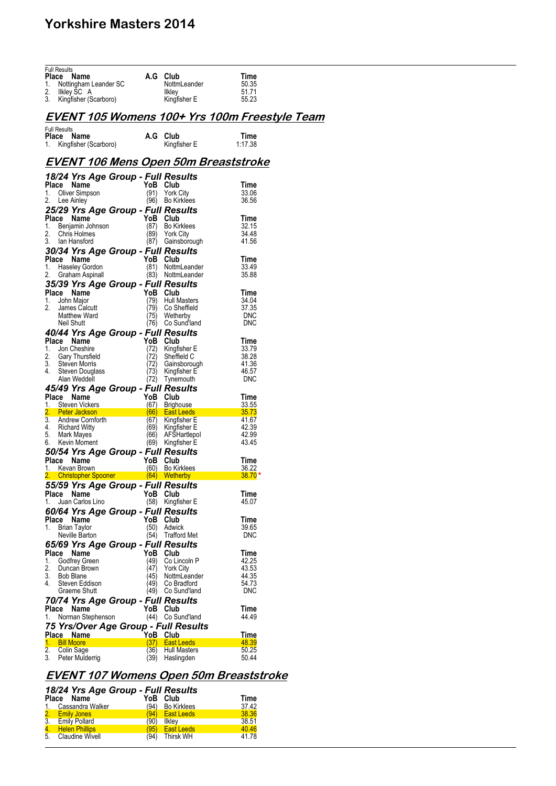| <b>Full Results</b>                                  |              |                                   |                |
|------------------------------------------------------|--------------|-----------------------------------|----------------|
| Place<br>Name                                        | A.G          | Club                              | Time           |
| 1.<br>Nottingham Leander SC<br>2.                    |              | NottmLeander                      | 50.35<br>51.71 |
| Ilkley SC A<br>3.<br>Kingfisher (Scarboro)           |              | <b>Ilkley</b><br>Kingfisher E     | 55.23          |
|                                                      |              |                                   |                |
|                                                      |              |                                   |                |
| <u>EVENT 105 Womens 100+ Yrs 100m Freestyle Team</u> |              |                                   |                |
| <b>Full Results</b>                                  |              |                                   |                |
| Place<br>Name                                        |              | A.G Club                          | Time           |
| 1. Kingfisher (Scarboro)                             |              | Kingfisher E                      | 1:17.38        |
|                                                      |              |                                   |                |
| <u>EVENT 106 Mens Open 50m Breaststroke</u>          |              |                                   |                |
|                                                      |              |                                   |                |
| 18/24 Yrs Age Group - Full Results                   |              |                                   |                |
| Place Name                                           | YoB          | Club                              | Time           |
| Oliver Simpson<br>1.                                 | (91)         | <b>York City</b>                  | 33.06          |
| 2.<br>Lee Ainley                                     |              | (96) Bo Kirklees                  | 36.56          |
| 25/29 Yrs Age Group - Full Results                   |              |                                   |                |
| Place<br>Name                                        | YoB          | Club                              | Time           |
| 1.<br>Benjamin Johnson                               | (87)         | Bo Kirklees                       | 32.15          |
| 2.<br>Chris Holmes                                   | (89)         | <b>York City</b>                  | 34.48          |
| 3.<br>lan Hansford                                   |              | (87) Gainsborough                 | 41.56          |
| 30/34 Yrs Age Group - Full Results                   |              |                                   |                |
| Place Name                                           |              | YoB Club                          | Time           |
| 1.<br><b>Haseley Gordon</b>                          | (81)         | NottmLeander                      | 33.49          |
| 2.<br>Graham Aspinall                                |              | (83) NottmLeander                 | 35.88          |
| 35/39 Yrs Age Group - Full Results                   |              |                                   |                |
| Place Name                                           |              | YoB Club                          | Time           |
| 1.<br>John Major                                     | (79)         | Hull Masters                      | 34.04          |
| 2.<br>James Calcutt                                  | (79)         | Co Sheffield                      | 37.35          |
| Matthew Ward                                         | (75)         | Wetherby                          | DNC            |
| Neil Shutt                                           |              | (76) Co Sund'land                 | DNC            |
| 40/44 Yrs Age Group - Full Results                   |              |                                   |                |
| Place Name                                           | YoB          | Club                              | Time           |
| Jon Cheshire<br>1.                                   | (72)         | Kingfisher E                      | 33.79          |
| 2.<br>Gary Thursfield                                | (72)         | Sheffield C                       | 38.28          |
| 3.<br>Steven Morris                                  | (72)         | Gainsborough                      | 41.36          |
| 4.<br>Steven Douglass                                | (73)         | Kingfisher E                      | 46.57<br>DNC   |
| Alan Weddell                                         | (72)         | Tynemouth                         |                |
| 45/49 Yrs Age Group - Full Results                   |              |                                   |                |
| Place Name                                           | YoB          | Club                              | Time           |
| Steven Vickers<br>1.                                 | (67)         | Brighouse                         | 33.55<br>35.73 |
| 2. Peter Jackson<br>3.<br>Andrew Cornforth           | (66)<br>(67) | <b>East Leeds</b><br>Kingfisher E | 41.67          |
| <b>Richard Witty</b><br>4.                           | (69)         | Kingfisher E                      | 42.39          |
| 5.<br>Mark Mayes                                     | (66)         | AFŠHartlepol                      | 42.99          |
| Kevin Moment<br>6.                                   |              | (69) Kingfisher E                 | 43.45          |
| 50/54 Yrs Age Group - Full Results                   |              |                                   |                |
| Place Name                                           |              | YoB Club                          | Time           |
| 1. Kevan Brown                                       |              | (60) Bo Kirklees                  | 36.22          |
| 2. Christopher Spooner (64) Wetherby                 |              |                                   | $38.70*$       |
| 55/59 Yrs Age Group - Full Results                   |              |                                   |                |
| Place Name                                           |              | YoB Club                          | Time           |
| Juan Carlos Lino<br>1.                               |              | (58) Kingfisher E                 | 45.07          |
| 60/64 Yrs Age Group - Full Results                   |              |                                   |                |
| Place Name                                           | YoB          | Club                              | Time           |
| 1.<br><b>Brian Taylor</b>                            | (50)         | Adwick                            | 39.65          |
| Neville Barton                                       | (54)         | <b>Trafford Met</b>               | <b>DNC</b>     |
| 65/69 Yrs Age Group - Full Results                   |              |                                   |                |
| Place Name                                           | YoB          | Club                              | Time           |
| 1.<br>Godfrey Green                                  | (49)         | Co Lincoln P                      | 42.25          |
| 2.<br>Duncan Brown                                   | (47)         | <b>York City</b>                  | 43.53          |
| 3.<br><b>Bob Blane</b>                               | (45)         | NottmLeander                      | 44.35          |
| 4.<br>Steven Eddison                                 | (49)         | Co Bradford                       | 54.73          |
| Graeme Shutt                                         | (49)         | Co Sund'land                      | <b>DNC</b>     |
| 70/74 Yrs Age Group - Full Results                   |              |                                   |                |
| Place Name                                           | YoB          | Club                              | Time           |
| Norman Stephenson<br>1.                              |              | (44) Co Sund'land                 | 44.49          |
| 75 Yrs/Over Age Group - Full Results                 |              |                                   |                |
| Place Name                                           | YoB          | Club                              | Time           |
| 1. Bill Moore                                        | (37)         | <b>East Leeds</b>                 | 48.39          |
| 2.<br>Colin Sage                                     |              |                                   |                |
|                                                      |              |                                   |                |
| 3.<br>Peter Mulderrig                                | (36)<br>(39) | Hull Masters<br>Haslingden        | 50.25<br>50.44 |

## **EVENT 107 Womens Open 50m Breaststroke**

| 18/24 Yrs Age Group - Full Results |          |                  |       |
|------------------------------------|----------|------------------|-------|
| Place Name                         | YoB Club |                  | Time  |
| 1. Cassandra Walker                |          | (94) Bo Kirklees | 37.42 |
| 2. Emily Jones                     |          | (94) East Leeds  | 38.36 |
| 3. Emily Pollard                   |          | (90) Ilklev      | 38.51 |
| 4. Helen Phillips                  |          | (95) East Leeds  | 40.46 |
| 5. Claudine Wivell                 |          | (94) Thirsk WH   | 41.78 |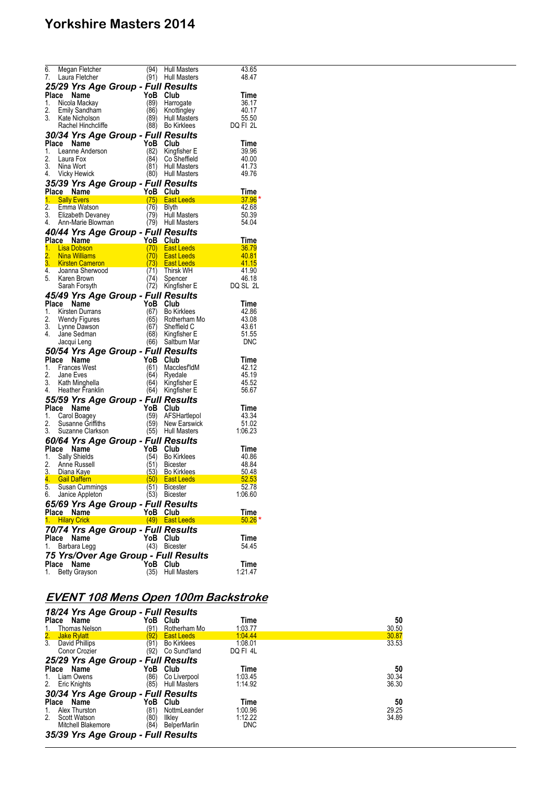| 6.    |                                                                                                         |             |                             |                 |
|-------|---------------------------------------------------------------------------------------------------------|-------------|-----------------------------|-----------------|
|       | Megan Fletcher                                                                                          | (94)        | <b>Hull Masters</b>         | 43.65           |
|       |                                                                                                         |             |                             |                 |
| 7.    | Laura Fletcher                                                                                          | (91)        | <b>Hull Masters</b>         | 48.47           |
|       | 25/29 Yrs Age Group - Full Results                                                                      |             |                             |                 |
|       |                                                                                                         |             |                             |                 |
|       | Place<br>Name                                                                                           | YoB         | Club                        | Time            |
| 1.    | Nicola Mackay                                                                                           | (89)        | Harrogate                   | 36.17           |
| 2.    | <b>Emily Sandham</b>                                                                                    | (86)        | Knottingley                 | 40.17           |
|       |                                                                                                         |             |                             |                 |
| 3.    | Kate Nicholson                                                                                          | (89)        | Hull Masters                | 55.50           |
|       | Rachel Hinchcliffe                                                                                      | (88)        | <b>Bo Kirklees</b>          | DQ FI 2L        |
|       |                                                                                                         |             |                             |                 |
|       | 30/34 Yrs Age Group - Full Results                                                                      |             |                             |                 |
|       | Place Name                                                                                              | YoB         | Club                        | Time            |
| 1.    |                                                                                                         |             |                             |                 |
|       | Leanne Anderson                                                                                         | (82)        | Kingfisher E                | 39.96           |
| 2.    | Laura Fox                                                                                               | (84)        | Co Sheffield                | 40.00           |
| 3.    | Nina Wort                                                                                               | (81)        | <b>Hull Masters</b>         | 41.73           |
|       | 4. Vicky Hewick                                                                                         | (80)        | <b>Hull Masters</b>         | 49.76           |
|       |                                                                                                         |             |                             |                 |
|       | 35/39 Yrs Age Group - Full Results                                                                      |             |                             |                 |
|       |                                                                                                         |             |                             |                 |
|       | Place Name <sup>-</sup>                                                                                 | YoB Club    |                             | Time            |
|       | 1. Sally Evers                                                                                          |             | (75) East Leeds             | $37.96*$        |
| 2.    | Emma Watson                                                                                             | (76)        | Blyth                       | 42.68           |
|       |                                                                                                         |             |                             |                 |
|       | 3. Elizabeth Devaney                                                                                    | (79)        | <b>Hull Masters</b>         | 50.39           |
|       | 4. Ann-Marie Blowman                                                                                    |             | (79) Hull Masters           | 54.04           |
|       |                                                                                                         |             |                             |                 |
|       | 40/44 Yrs Age Group - Full Results                                                                      |             |                             |                 |
|       | Place Name                                                                                              | YoB Club    |                             | Time            |
|       | 1. Lisa Dobson                                                                                          | (70)        | <b>East Leeds</b>           | 36.79           |
|       |                                                                                                         |             |                             |                 |
| 2.    | <b>Nina Williams</b>                                                                                    | (70)        | <b>East Leeds</b>           | 40.81           |
|       | 3. Kirsten Cameron                                                                                      | (73)        | <b>East Leeds</b>           | 41.15           |
|       | 4. Joanna Sherwood                                                                                      | (71)        | Thirsk WH                   | 41.90           |
|       |                                                                                                         |             |                             |                 |
|       | 5. Karen Brown                                                                                          | (74)        | Spencer                     | 46.18           |
|       | Sarah Forsyth                                                                                           | (72)        | Kingfisher E                | DQ SL 2L        |
|       |                                                                                                         |             |                             |                 |
|       | 45/49 Yrs Age Group - Full Results                                                                      |             |                             |                 |
| Place | Name                                                                                                    | YoB         | Club                        | Time            |
|       |                                                                                                         |             |                             | 42.86           |
|       | 1. Kirsten Durrans                                                                                      | (67)        | <b>Bo Kirklees</b>          |                 |
| 2.    | Wendy Figures                                                                                           | (65)        | Rotherham Mo                | 43.08           |
|       | 3. Lynne Dawson                                                                                         | (67)        | Sheffield C                 | 43.61           |
|       |                                                                                                         |             |                             |                 |
|       |                                                                                                         |             |                             |                 |
| 4.    | Jane Sedman                                                                                             |             | (68) Kingfisher E           | 51.55           |
|       | Jacqui Leng                                                                                             | (66)        | Saltburn Mar                | <b>DNC</b>      |
|       |                                                                                                         |             |                             |                 |
|       | 50/54 Yrs Age Group - Full Results                                                                      |             |                             |                 |
|       | Place Name                                                                                              | YoB         | Club                        | Time            |
|       |                                                                                                         |             |                             |                 |
| 1.    | <b>Frances West</b>                                                                                     | (61)        | MacclesfldM                 | 42.12           |
| 2.    | Jane Eves                                                                                               | (64)        | Ryedale                     | 45.19           |
| 3.    |                                                                                                         | (64)        |                             |                 |
|       | Kath Minghella                                                                                          |             | Kingfisher E                | 45.52           |
|       | 4. Heather Franklin                                                                                     | (64)        | Kingfisher E                | 56.67           |
|       |                                                                                                         |             |                             |                 |
|       | 55/59 Yrs Age Group - Full Results                                                                      |             |                             |                 |
|       | Place<br>Name                                                                                           | YoB         | Club                        | Time            |
|       | 1. Carol Boagey                                                                                         | (59)        | AFSHartlepol                | 43.34           |
| 2.    | Susanne Griffiths                                                                                       |             | (59) New Earswick           | 51.02           |
|       |                                                                                                         |             |                             |                 |
| 3.    | Suzanne Clarkson                                                                                        |             | (55) Hull Masters           | 1:06.23         |
|       |                                                                                                         |             |                             |                 |
|       | 60/64 Yrs Age Group - Full Results                                                                      |             |                             |                 |
|       | Place Name                                                                                              | YoB         | Club                        | Time            |
| 1.    | Sally Shields                                                                                           | (54)        | <b>Bo Kirklees</b>          | 40.86           |
| 2.    | Anne Russell                                                                                            | (51)        | <b>Bicester</b>             | 48.84           |
|       |                                                                                                         |             |                             |                 |
|       |                                                                                                         | (53)        | <b>Bo Kirklees</b>          | 50.48           |
|       |                                                                                                         |             | $(50)$ East Leeds           | 52.53           |
| 5.    | 3. Diana Kaye<br><mark>4. Gail Daffern 1988 - 1999 - 1999</mark><br>5. Guess Cummings<br>Susan Cummings | (51)        | <b>Bicester</b>             | 52.78           |
|       |                                                                                                         |             |                             |                 |
| 6.    | Janice Appleton                                                                                         | (53)        | <b>Bicester</b>             | 1:06.60         |
|       |                                                                                                         |             |                             |                 |
|       | 65/69 Yrs Age Group - Full Results                                                                      |             |                             |                 |
|       | Place Name                                                                                              | YoB Club    |                             | Time            |
|       | 1. Hilary Crick                                                                                         |             | (49) East Leeds             | $50.26$ *       |
|       |                                                                                                         |             |                             |                 |
|       | 70/74 Yrs Age Group - Full Results                                                                      |             |                             |                 |
| Place | Name                                                                                                    | YoB         | Club                        | Time            |
|       |                                                                                                         |             |                             |                 |
| 1.    | Barbara Legg                                                                                            | (43)        | <b>Bicester</b>             | 54.45           |
|       |                                                                                                         |             |                             |                 |
|       | 75 Yrs/Over Age Group - Full Results                                                                    |             |                             |                 |
| 1.    | Place Name<br><b>Betty Grayson</b>                                                                      | YoB<br>(35) | Club<br><b>Hull Masters</b> | Time<br>1:21.47 |

# **EVENT 108 Mens Open 100m Backstroke**

| 18/24 Yrs Age Group - Full Results                  |              |                                    |                    |             |
|-----------------------------------------------------|--------------|------------------------------------|--------------------|-------------|
| <b>Place</b><br>Name                                | YoB<br>(91)  | Club<br>Rotherham Mo               | Time<br>1:03.77    | 50<br>30.50 |
| Thomas Nelson<br>1.<br>2.<br><b>Jake Rylatt</b>     | '92'         | <b>East Leeds</b>                  | 1:04.44            | 30.87       |
| $\overline{3}$ .<br>David Phillips<br>Conor Crozier | (91)<br>(92) | <b>Bo Kirklees</b><br>Co Sund'land | 1:08.01<br>DQ FI4L | 33.53       |
| 25/29 Yrs Age Group - Full Results                  |              |                                    |                    |             |
| Name<br><b>Place</b>                                | YoB          | Club                               | Time               | 50          |
| Liam Owens<br>1.                                    | (86)         | Co Liverpool                       | 1:03.45            | 30.34       |
| 2.<br><b>Eric Knights</b>                           | (85)         | <b>Hull Masters</b>                | 1:14.92            | 36.30       |
| 30/34 Yrs Age Group - Full Results                  |              |                                    |                    |             |
| Name<br>Place                                       | YoB          | Club                               | Time               | 50          |
| Alex Thurston<br>1.                                 | (81)         | NottmLeander                       | 1:00.96            | 29.25       |
| 2 <sup>2</sup><br>Scott Watson                      | (80)         | Ilklev                             | 1:12.22            | 34.89       |
| <b>Mitchell Blakemore</b>                           | (84)         | BelperMarlin                       | <b>DNC</b>         |             |
| 35/39 Yrs Age Group - Full Results                  |              |                                    |                    |             |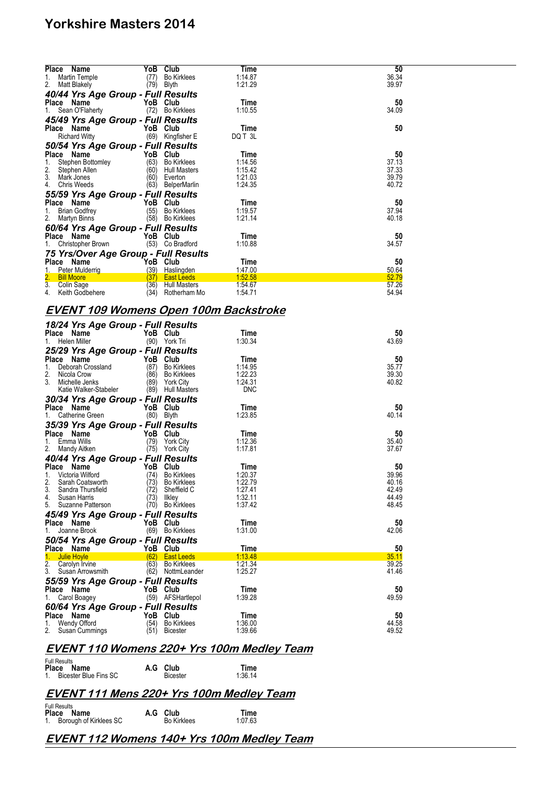| <b>Place</b><br>Name                  | YoB  | Club                | Time    | 50    |  |
|---------------------------------------|------|---------------------|---------|-------|--|
| Martin Temple<br>1.                   | (77) | <b>Bo Kirklees</b>  | 1:14.87 | 36.34 |  |
| 2.<br>Matt Blakely                    | (79) | Blyth               | 1:21.29 | 39.97 |  |
| 40/44 Yrs Age Group - Full Results    |      |                     |         |       |  |
| Place Name                            | YoB  | Club                | Time    | 50    |  |
| Sean O'Flaherty                       | (72) | <b>Bo Kirklees</b>  | 1:10.55 | 34.09 |  |
| 45/49 Yrs Age Group - Full Results    |      |                     |         |       |  |
| Place Name                            |      | YoB Club            | Time    | 50    |  |
| <b>Richard Witty</b>                  | (69) | Kingfisher E        | DQ T 3L |       |  |
| 50/54 Yrs Age Group - Full Results    |      |                     |         |       |  |
| Place Name                            |      | YoB Club            | Time    | 50    |  |
| Stephen Bottomley                     | (63) | <b>Bo Kirklees</b>  | 1:14.56 | 37.13 |  |
| 2.<br>Stephen Allen                   | (60) | <b>Hull Masters</b> | 1:15.42 | 37.33 |  |
| 3.<br>Mark Jones                      | (60) | Everton             | 1:21.03 | 39.79 |  |
| Chris Weeds<br>4.                     | (63) | BelperMarlin        | 1:24.35 | 40.72 |  |
| 55/59 Yrs Age Group - Full Results    |      |                     |         |       |  |
| Place Name                            | YoB  | Club                | Time    | 50    |  |
| <b>Brian Godfrey</b><br>1.            | (55) | <b>Bo Kirklees</b>  | 1:19.57 | 37.94 |  |
| 2.<br>Martyn Binns                    | (58) | <b>Bo Kirklees</b>  | 1:21.14 | 40.18 |  |
| 60/64 Yrs Age Group - Full Results    |      |                     |         |       |  |
| Place Name                            |      | YoB Club            | Time    | 50    |  |
| Christopher Brown                     | (53) | Co Bradford         | 1:10.88 | 34.57 |  |
| 75 Yrs/Over Age Group - Full Results  |      |                     |         |       |  |
| Place Name                            |      | YoB Club            | Time    | 50    |  |
| <b>Peter Mulderrig</b>                | (39) | <b>Haslingden</b>   | 1:47.00 | 50.64 |  |
| $\overline{2}$ .<br><b>Bill Moore</b> | (37) | <b>East Leeds</b>   | 1:52.58 | 52.79 |  |
| $\overline{3}$ .<br>Colin Sage        | (36) | <b>Hull Masters</b> | 1:54.67 | 57.26 |  |
| 4.<br>Keith Godbehere                 | (34) | Rotherham Mo        | 1:54.71 | 54.94 |  |

### **EVENT 109 Womens Open 100m Backstroke**

| 18/24 Yrs Age Group - Full Results<br>Place Name |              | YoB Club                                | Time               | 50             |
|--------------------------------------------------|--------------|-----------------------------------------|--------------------|----------------|
| Helen Miller<br>$1_{-}$                          |              | (90) York Tri                           | 1:30.34            | 43.69          |
| 25/29 Yrs Age Group - Full Results               |              |                                         |                    |                |
| Place Name                                       | YoB Club     |                                         | Time               | 50             |
| 1.<br>Deborah Crossland                          | (87)         | <b>Bo Kirklees</b>                      | 1:14.95            | 35.77          |
| 2.<br>Nicola Crow                                | (86)         | <b>Bo Kirklees</b>                      | 1:22.23            | 39.30          |
| 3.<br>Michelle Jenks                             |              | (89) York City                          | 1:24.31            | 40.82          |
| Katie Walker-Stabeler                            |              | (89) Hull Masters                       | <b>DNC</b>         |                |
| 30/34 Yrs Age Group - Full Results               |              |                                         |                    |                |
| Place Name                                       |              | YoB Club                                | Time               | 50             |
| Catherine Green<br>1.                            |              | $(80)$ Blyth                            | 1:23.85            | 40.14          |
| 35/39 Yrs Age Group - Full Results               |              |                                         |                    |                |
| Place Name                                       | YoB Club     |                                         | Time               | 50             |
| Emma Wills<br>1.                                 | (79)         | York City                               | 1:12.36            | 35.40          |
| 2.<br>Mandy Aitken                               | (75)         | <b>York City</b>                        | 1:17.81            | 37.67          |
| 40/44 Yrs Age Group - Full Results               |              |                                         |                    |                |
| Place Name                                       |              | YoB Club                                | Time               | 50             |
| 1 <sup>1</sup><br>Victoria Wilford               | (74)         | <b>Bo Kirklees</b>                      | 1:20.37            | 39.96          |
| 2.<br>Sarah Coatsworth                           | (73)         | <b>Bo Kirklees</b>                      | 1.22.79            | 40.16          |
| 3.<br>Sandra Thursfield                          | (72)         | Sheffield C                             | 1:27.41<br>1:32.11 | 42.49          |
| 4. Susan Harris<br>5. Suzanne Patterson          | (73)         | llkley<br>(70) Bo Kirklees              | 1:37.42            | 44.49<br>48.45 |
|                                                  |              |                                         |                    |                |
| 45/49 Yrs Age Group - Full Results               |              |                                         |                    |                |
| Place Name<br>1.<br>Joanne Brook                 | YoB Club     |                                         | Time<br>1:31.00    | 50<br>42.06    |
|                                                  |              | (69) Bo Kirklees                        |                    |                |
| 50/54 Yrs Age Group - Full Results               |              |                                         |                    |                |
| Place Name                                       |              | YoB Club                                | Time               | 50             |
| 1.<br><b>Julie Hoyle</b><br>2.<br>Carolyn Irvine | (62)<br>(63) | <b>East Leeds</b><br><b>Bo Kirklees</b> | 1:13.48<br>1:21.34 | 35.11<br>39.25 |
| 3.<br>Susan Arrowsmith                           |              | (62) NottmLeander                       | 1:25.27            | 41.46          |
|                                                  |              |                                         |                    |                |
| 55/59 Yrs Age Group - Full Results               |              |                                         |                    |                |
| Place Name                                       |              | YoB Club                                | Time<br>1:39.28    | 50<br>49.59    |
| 1.<br>Carol Boagey                               |              | (59) AFSHartlepol                       |                    |                |
| 60/64 Yrs Age Group - Full Results               |              |                                         |                    |                |
| Place Name                                       |              | YoB Club                                | Time               | 50             |
| 1.<br><b>Wendy Offord</b><br>2.                  | (54)         | <b>Bo Kirklees</b>                      | 1:36.00<br>1:39.66 | 44.58<br>49.52 |
| Susan Cummings                                   | (51)         | <b>Bicester</b>                         |                    |                |

## **EVENT 110 Womens 220+ Yrs 100m Medley Team**

| <b>Full Results</b>      |  |          |         |  |  |
|--------------------------|--|----------|---------|--|--|
| Place Name               |  | A.G Club | Time    |  |  |
| 1. Bicester Blue Fins SC |  | Bicester | 1:36.14 |  |  |

## **EVENT 111 Mens 220+ Yrs 100m Medley Team**

| <b>Full Results</b>       |                    |         |
|---------------------------|--------------------|---------|
| Place Name                | A.G Club           | Time    |
| 1. Borough of Kirklees SC | <b>Bo Kirklees</b> | 1:07.63 |

### **EVENT 112 Womens 140+ Yrs 100m Medley Team**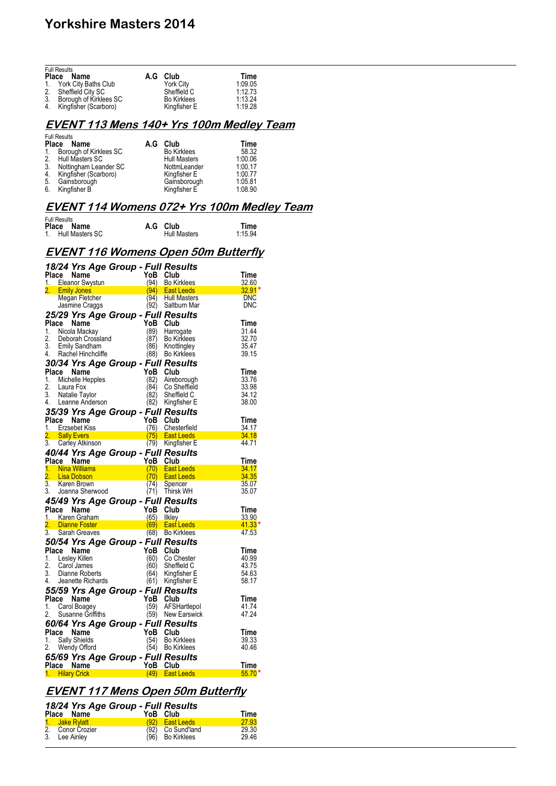|    | <b>Full Results</b><br>Place Name | A.G Club           | Time    |
|----|-----------------------------------|--------------------|---------|
|    | 1. York City Baths Club           | <b>York City</b>   | 1:09.05 |
| 2. | Sheffield City SC                 | Sheffield C        | 1:12.73 |
| 3. | Borough of Kirklees SC            | <b>Bo Kirklees</b> | 1.13.24 |
|    | 4. Kingfisher (Scarboro)          | Kingfisher E       | 1:19.28 |

### **EVENT 113 Mens 140+ Yrs 100m Medley Team**

|             | <b>Full Results</b><br>Place Name | A.G | Club                | Time    |
|-------------|-----------------------------------|-----|---------------------|---------|
| $1_{\cdot}$ | Borough of Kirklees SC            |     | <b>Bo Kirklees</b>  | 58.32   |
| 2.          | Hull Masters SC                   |     | <b>Hull Masters</b> | 1:00.06 |
| 3.          | Nottingham Leander SC             |     | NottmLeander        | 1:00.17 |
| 4.          | Kingfisher (Scarboro)             |     | Kingfisher E        | 1:00.77 |
| 5.          | Gainsborough                      |     | Gainsborough        | 1:05.81 |
| 6.          | Kingfisher B                      |     | Kingfisher E        | 1:08.90 |

## **EVENT 114 Womens 072+ Yrs 100m Medley Team**

| <b>Full Results</b><br>Name<br>Place<br>1. Hull Masters SC |              | A.G Club<br><b>Hull Masters</b>        | Time<br>1:15.94                                                                                                            |
|------------------------------------------------------------|--------------|----------------------------------------|----------------------------------------------------------------------------------------------------------------------------|
| <b>EVENT 116 Womens Open 50m Butterfly</b>                 |              |                                        |                                                                                                                            |
| 18/24 Yrs Age Group - Full Results                         |              |                                        |                                                                                                                            |
| Place Name                                                 |              | YoB Club                               | Time                                                                                                                       |
| 1. Eleanor Swystun<br>2. Emily Jones                       | (94)<br>(94) | Bo Kirklees<br>East Leeds              | 32.60<br>$32.91*$                                                                                                          |
| Megan Fletcher                                             | (94)         | <b>Hull Masters</b>                    | <b>DNC</b>                                                                                                                 |
| Jasmine Craggs                                             | (92)         | Saltburn Mar                           | DNC                                                                                                                        |
| 25/29 Yrs Age Group - Full Results                         |              |                                        |                                                                                                                            |
| Place Name                                                 | YoB          | Club                                   | Time                                                                                                                       |
| 1. Nicola Mackay                                           | (89)         | Harrogate                              | 31.44                                                                                                                      |
| 2.<br>Deborah Crossland                                    | (87)         | <b>Bo Kirklees</b>                     | 32.70                                                                                                                      |
| 3.<br><b>Emily Sandham</b>                                 | (86)         | Knottingley                            | 35.47                                                                                                                      |
| 4. Rachel Hinchcliffe                                      | (88)         | Bo Kirklees                            | 39.15                                                                                                                      |
| 30/34 Yrs Age Group - Full Results                         |              |                                        |                                                                                                                            |
| Place Name                                                 | YoB          | Club                                   | Time                                                                                                                       |
| 1. Michelle Hepples                                        | (82)         | Aireborough                            | 33.76                                                                                                                      |
| 2.<br>Laura Fox                                            | (84)         | Co Sheffield                           | 33.98                                                                                                                      |
| 3.<br>Natalie Taylor<br>4.<br>Leanne Anderson              | (82)         | Sheffield C                            | 34.12<br>38.00                                                                                                             |
|                                                            | (82)         | Kingfisher E                           |                                                                                                                            |
| 35/39 Yrs Age Group - Full Results                         |              |                                        |                                                                                                                            |
| Place Name                                                 | YoB          | Club                                   | Time<br>34.17                                                                                                              |
| 1. Erzsebet Kiss<br>2. Sally Evers                         |              | (76) Chesterfield<br>$(75)$ East Leeds | 34.18                                                                                                                      |
| 3.<br>Carley Atkinson                                      |              | (79) Kingfisher E                      | 44.71                                                                                                                      |
| 40/44 Yrs Age Group - Full Results                         |              |                                        |                                                                                                                            |
| Place Name                                                 |              | YoB Club                               | Time                                                                                                                       |
| 1. Nina Williams                                           | (70)         | <b>East Leeds</b>                      | 34.17                                                                                                                      |
| $\overline{2}$ .<br><b>Lisa Dobson</b>                     | (70)         | <b>East Leeds</b>                      | 34.35                                                                                                                      |
| $\overline{3}$ .<br>Karen Brown                            | (74)         | Spencer                                | 35.07                                                                                                                      |
| 3. Joanna Sherwood                                         | (71)         | <b>Thirsk WH</b>                       | 35.07                                                                                                                      |
| 45/49 Yrs Age Group - Full Results                         |              |                                        |                                                                                                                            |
| Place Name                                                 | YoB          | Club                                   | Time                                                                                                                       |
| 1. Karen Graham                                            | (65)         | Ilkley                                 | 33.90                                                                                                                      |
| 2. Dianne Foster                                           |              | (69) East Leeds                        | $41.33*$<br>and the state of the state of the state of the state of the state of the state of the state of the state of th |
| 3.<br>Sarah Greaves                                        |              | (68) Bo Kirklees                       | 47.53                                                                                                                      |
| 50/54 Yrs Age Group - Full Results                         |              |                                        |                                                                                                                            |
| Place Name                                                 | YoB          | Club                                   | Time                                                                                                                       |
| 1. Lesley Killen<br>2.                                     | (60)         | Co Chester                             | 40.99                                                                                                                      |
| Carol James<br>3.<br>Dianne Roberts                        | (60)<br>(64) | Sheffield C<br>Kingfisher E            | 43.75<br>54.63                                                                                                             |
| Jeanette Richards<br>4.                                    | (61)         | Kingfisher E                           | 58.17                                                                                                                      |
|                                                            |              |                                        |                                                                                                                            |
| 55/59 Yrs Age Group - Full Results<br>Place Name           |              | YoB Club                               | Time                                                                                                                       |
| 1. Carol Boagey                                            | (59)         | AFSHartlepol                           | 41.74                                                                                                                      |
| Susanne Griffiths<br>2.                                    | (59)         | New Earswick                           | 47.24                                                                                                                      |
| 60/64 Yrs Age Group - Full Results                         |              |                                        |                                                                                                                            |
| Place Name                                                 |              | YoB Club                               | Time                                                                                                                       |
| Sally Shields<br>1.                                        | (54)         | <b>Bo Kirklees</b>                     | 39.33                                                                                                                      |
| 2.<br>Wendy Offord                                         |              | (54) Bo Kirklees                       | 40.46                                                                                                                      |
| 65/69 Yrs Age Group - Full Results                         |              |                                        |                                                                                                                            |
| Place Name                                                 | YoB          | Club                                   | Time                                                                                                                       |
| 1. Hilary Crick                                            | (49)         | <b>East Leeds</b>                      | $55.70*$                                                                                                                   |
|                                                            |              |                                        |                                                                                                                            |

## **EVENT 117 Mens Open 50m Butterfly**

| Place Name                      | 18/24 Yrs Age Group - Full Results | YoB Club |                                                            | Time                    |
|---------------------------------|------------------------------------|----------|------------------------------------------------------------|-------------------------|
| 1. Jake Rylatt<br>3. Lee Ainley | 2. Conor Crozier                   |          | $(92)$ East Leeds<br>(92) Co Sund'land<br>(96) Bo Kirklees | 27.93<br>29.30<br>29.46 |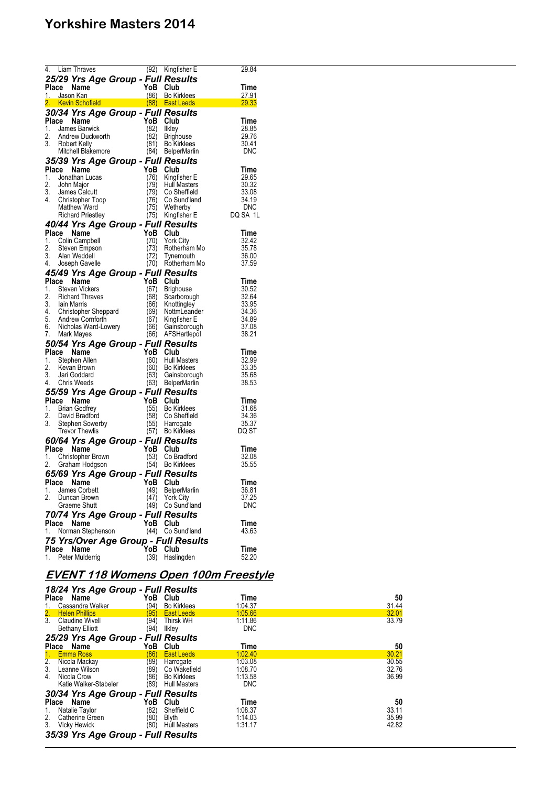|             |       | 4. Liam Thraves                                  | (92)         | Kingfisher E                           | 29.84          |
|-------------|-------|--------------------------------------------------|--------------|----------------------------------------|----------------|
|             |       | 25/29 Yrs Age Group - Full Results               |              |                                        |                |
| Place       |       | Name<br>1. Jason Kan                             | YoB          | Club<br>(86) Bo Kirklees               | Time<br>27.91  |
|             |       | 2. Kevin Schofield                               |              | (88) East Leeds                        | 29.33          |
|             |       | 30/34 Yrs Age Group - Full Results               |              |                                        |                |
| Place       |       | Name                                             | YoB          | Club                                   | Time           |
| 1.<br>2.    |       | James Barwick                                    | (82)<br>(82) | Ilkley                                 | 28.85<br>29.76 |
|             |       | Andrew Duckworth<br>3. Robert Kelly              | (81)         | <b>Brighouse</b><br><b>Bo Kirklees</b> | 30.41          |
|             |       | Mitchell Blakemore                               | (84)         | <b>BelperMarlin</b>                    | <b>DNC</b>     |
|             |       | 35/39 Yrs Age Group - Full Results               |              |                                        |                |
| Place       |       | Name                                             | YoB          | Club                                   | Time           |
| 1.          |       | Jonathan Lucas                                   | (76)         | Kingfisher E                           | 29.65          |
| 2.          |       | John Major<br>3. James Calcutt                   | (79)<br>79)  | <b>Hull Masters</b><br>Co Sheffield    | 30.32<br>33.08 |
|             |       | 4. Christopher Toop                              | (76)         | Co Sund'land                           | 34.19          |
|             |       | <b>Matthew Ward</b>                              | (75)         | Wetherby                               | <b>DNC</b>     |
|             |       | <b>Richard Priestley</b>                         | (75)         | Kingfisher E                           | DQ SA 1L       |
|             |       | 40/44 Yrs Age Group - Full Results               |              |                                        |                |
|             |       | Place Name<br>1. Colin Campbell                  | YoB          | Club                                   | Time<br>32.42  |
| 2.          |       | Steven Empson                                    | (70)<br>(73) | <b>York City</b><br>Rotherham Mo       | 35.78          |
|             |       | 3. Alan Weddell                                  | (72)         | Tynemouth                              | 36.00          |
|             |       | 4. Joseph Gavelle                                | (70)         | Rotherham Mo                           | 37.59          |
|             |       | 45/49 Yrs Age Group - Full Results               |              |                                        |                |
| Place       |       | Name                                             | YoB          | Club                                   | Time           |
| 1.<br>2.    |       | <b>Steven Vickers</b>                            | (67)         | <b>Brighouse</b>                       | 30.52          |
|             |       | <b>Richard Thraves</b><br>3. Iain Marris         | (68)<br>(66) | Scarborough<br>Knottingley             | 32.64<br>33.95 |
|             |       |                                                  | (69)         | NottmLeander                           | 34.36          |
|             |       | 4. Christopher Sheppard<br>5. Andrew Cornforth   | (67)         | Kingfisher E                           | 34.89          |
|             |       | 6. Nicholas Ward-Lowery                          | (66)         | Gainsborough                           | 37.08          |
| 7.          |       | Mark Mayes                                       | (66)         | AFSHartlepol                           | 38.21          |
|             |       | 50/54 Yrs Age Group - Full Results<br>Place Name | YoB          | Club                                   | Time           |
| 1.          |       | Stephen Allen                                    | (60)         | <b>Hull Masters</b>                    | 32.99          |
| 2.          |       | Kevan Brown                                      | (60)         | <b>Bo Kirklees</b>                     | 33.35          |
| 3.          |       | Jari Goddard                                     | (63)         | Gainsborough                           | 35.68          |
| 4.          |       | <b>Chris Weeds</b>                               | (63)         | <b>BelperMarlin</b>                    | 38.53          |
|             |       | 55/59 Yrs Age Group - Full Results               | YoB          | Club                                   | Time           |
| Place<br>1. |       | Name<br>Brian Godfrey                            | (55)         | <b>Bo Kirklees</b>                     | 31.68          |
| 2.          |       | David Bradford                                   | (58)         | Co Sheffield                           | 34.36          |
| 3.          |       | Stephen Sowerby                                  | (55)         | Harrogate                              | 35.37          |
|             |       | <b>Trevor Thewlis</b>                            | (57)         | <b>Bo Kirklees</b>                     | DQ ST          |
|             |       | 60/64 Yrs Age Group - Full Results               |              |                                        |                |
| 1.          |       | Place Name<br>Christopher Brown                  | YoB<br>(53)  | Club<br>Co Bradford                    | Time<br>32.08  |
| 2.          |       | Graham Hodgson                                   | (54)         | <b>Bo Kirklees</b>                     | 35.55          |
|             |       | 65/69 Yrs Age Group - Full Results               |              |                                        |                |
|             |       | Place Name                                       | ۲оВ          | Club                                   | Time           |
| 1.          |       | James Corbett                                    | (49)         | <b>BelperMarlin</b>                    | 36.81          |
| 2.          |       | Duncan Brown                                     | 47)          | <b>York City</b>                       | 37.25          |
|             |       | Graeme Shutt                                     | (49)         | Co Sund'land                           | <b>DNC</b>     |
|             | Place | 70/74 Yrs Age Group - Full Results<br>Name       | YoB          | Club                                   | Time           |
| 1.          |       | Norman Stephenson                                | (44)         | Co Sund'land                           | 43.63          |
|             |       |                                                  |              | 75 Yrs/Over Age Group - Full Results   |                |
| Place       |       | Name                                             | YoB          | Club                                   | Time           |
| 1.          |       | Peter Mulderrig                                  | (39)         | Haslingden                             | 52.20          |

## **EVENT 118 Womens Open 100m Freestyle**

| 18/24 Yrs Age Group - Full Results<br>Place Name         | YoB Club |                     | Time       | 50    |
|----------------------------------------------------------|----------|---------------------|------------|-------|
| Cassandra Walker<br><u>1. </u>                           | (94)     | <b>Bo Kirklees</b>  | 1:04.37    | 31.44 |
|                                                          | (95)     | <b>East Leeds</b>   | 1.05.66    | 32.01 |
| 2. Helen Phillips<br>3. Claudine Wive<br>Claudine Wivell | (94)     | <b>Thirsk WH</b>    | 1:11.86    | 33.79 |
| <b>Bethany Elliott</b>                                   | (94)     | likley              | <b>DNC</b> |       |
| 25/29 Yrs Age Group - Full Results                       |          |                     |            |       |
| Place Name                                               | YoB      | Club                | Time       | 50    |
| 1. Emma Ross                                             | (86)     | <b>East Leeds</b>   | 1:02.40    | 30.21 |
| 2.<br>Nicola Mackay                                      | (89)     | Harrogate           | 1:03.08    | 30.55 |
| 3.<br>Leanne Wilson                                      | (89)     | Co Wakefield        | 1:08.70    | 32.76 |
| 4.<br>Nicola Crow                                        | (86)     | <b>Bo Kirklees</b>  | 1:13.58    | 36.99 |
| Katie Walker-Stabeler                                    |          | <b>Hull Masters</b> | <b>DNC</b> |       |
|                                                          | (89)     |                     |            |       |
| 30/34 Yrs Age Group - Full Results                       |          |                     |            |       |
| Place Name                                               | YoB      | Club                | Time       | 50    |
| Natalie Taylor<br>1.                                     | (82)     | Sheffield C         | 1:08.37    | 33.11 |
| 2.<br>Catherine Green                                    | (80)     | Blyth               | 1:14.03    | 35.99 |
| 3. Vicky Hewick                                          | (80)     | <b>Hull Masters</b> | 1:31.17    | 42.82 |
|                                                          |          |                     |            |       |
| 35/39 Yrs Age Group - Full Results                       |          |                     |            |       |
|                                                          |          |                     |            |       |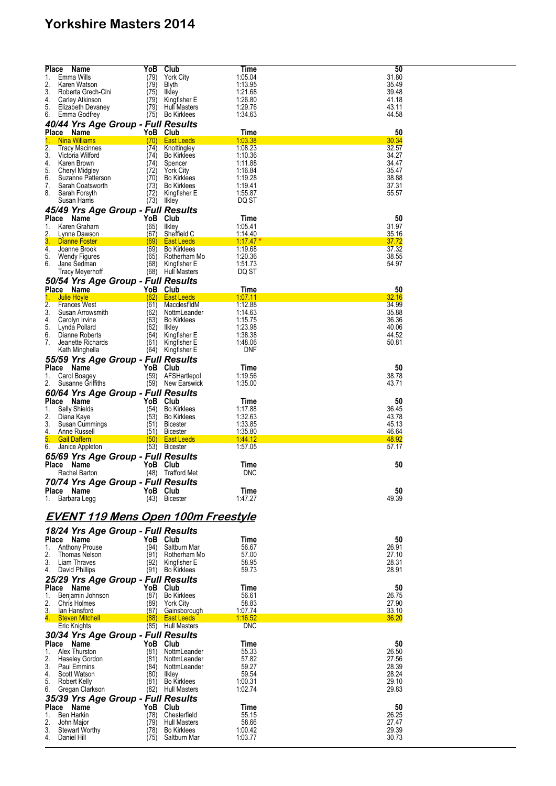| <b>Place</b><br>Name                                   | YoB          | <b>Club</b>                             | Time                  | 50             |
|--------------------------------------------------------|--------------|-----------------------------------------|-----------------------|----------------|
| 1.<br>Emma Wills                                       | (79)         | <b>York City</b>                        | 1:05.04               | 31.80          |
| 2.<br>Karen Watson<br>3.<br>Roberta Grech-Cini         | (79)         | Blyth                                   | 1:13.95<br>1:21.68    | 35.49<br>39.48 |
| 4.<br>Carley Atkinson                                  | (75)<br>(79) | Ilkley<br>Kingfisher E                  | 1:26.80               | 41.18          |
| 5.<br>Elizabeth Devaney                                | (79)         | <b>Hull Masters</b>                     | 1:29.76               | 43.11          |
| 6.<br>Emma Godfrey                                     | (75)         | <b>Bo Kirklees</b>                      | 1:34.63               | 44.58          |
| 40/44 Yrs Age Group - Full Results                     |              |                                         |                       |                |
| Place Name                                             |              | YoB Club                                | Time                  | 50             |
| 1.<br><b>Nina Williams</b>                             | (70)         | <b>East Leeds</b>                       | 1:03.38               | 30.34          |
| $\overline{2}$ .<br><b>Tracy Macinnes</b>              | (74)         | Knottingley                             | 1:08.23               | 32.57          |
| 3.<br>Victoria Wilford                                 | (74)         | <b>Bo Kirklees</b>                      | 1:10.36               | 34.27          |
| 4.<br>Karen Brown<br>5.<br>Cheryl Midgley              | (74)<br>(72) | Spencer<br><b>York City</b>             | 1:11.88<br>1:16.84    | 34.47<br>35.47 |
| 6.<br>Suzanne Patterson                                | (70)         | <b>Bo Kirklees</b>                      | 1:19.28               | 38.88          |
| 7.<br>Sarah Coatsworth                                 | (73)         | <b>Bo Kirklees</b>                      | 1:19.41               | 37.31          |
| 8.<br>Sarah Forsyth                                    | (72)         | Kingfisher E                            | 1:55.87               | 55.57          |
| Susan Harris                                           | (73)         | Ilkley                                  | DQ ST                 |                |
| 45/49 Yrs Age Group - Full Results                     |              |                                         |                       |                |
| Place Name                                             | YoB          | Club                                    | Time                  | 50             |
| 1.<br>Karen Graham                                     | (65)         | Ilkley                                  | 1:05.41               | 31.97          |
| 2.<br>Lynne Dawson                                     | (67)         | Sheffield C                             | <u>1:14.40</u>        | 35.16          |
| 3.<br>Dianne Foster<br>4.<br>Joanne Brook              | (69)<br>(69) | <b>East Leeds</b><br><b>Bo Kirklees</b> | $1.17.47*$<br>1:19.68 | 37.72<br>37.32 |
| 5.<br><b>Wendy Figures</b>                             | (65)         | Rotherham Mo                            | 1:20.36               | 38.55          |
| 6.<br>Jane Sedman                                      | (68)         | Kingfisher E                            | 1:51.73               | 54.97          |
| Tracy Meyerhoff                                        |              | (68) Hull Masters                       | DQ ST                 |                |
| 50/54 Yrs Age Group - Full Results                     |              |                                         |                       |                |
| Place Name                                             |              | YoB Club                                | Time                  | 50             |
| 1.<br>Julie Hoyle                                      | (62)         | <b>East Leeds</b>                       | <u>1:07.11</u>        | 32.16          |
| $\overline{2}$ .<br><b>Frances West</b>                | (61)         | MacclesfldM                             | 1:12.88               | 34.99          |
| 3.<br>Susan Arrowsmith                                 | (62)         | NottmLeander                            | 1:14.63               | 35.88          |
| 4.<br>Carolyn Irvine<br>5.<br>Lynda Pollard            | (63)<br>(62) | <b>Bo Kirklees</b><br>Ilkley            | 1:15.75<br>1:23.98    | 36.36<br>40.06 |
| 6.<br>Dianne Roberts                                   | (64)         | Kingfisher E                            | 1:38.38               | 44.52          |
| 7.<br>Jeanette Richards                                | (61)         | Kingfisher E                            | 1:48.06               | 50.81          |
| Kath Minghella                                         | (64)         | Kingfisher E                            | <b>DNF</b>            |                |
| 55/59 Yrs Age Group - Full Results                     |              |                                         |                       |                |
| Place Name                                             | YoB          | Club                                    | Time                  | 50             |
| 1.<br>Carol Boagey                                     | (59)         | AFSHartlepol                            | 1:19.56               | 38.78          |
| 2.<br>Susanne Griffiths                                |              | (59) New Earswick                       | 1:35.00               | 43.71          |
| 60/64 Yrs Age Group - Full Results                     |              |                                         |                       |                |
| Place Name                                             | YoB          | Club                                    | Time                  | 50             |
| Sally Shields<br>1.                                    | (54)         | <b>Bo Kirklees</b>                      | 1:17.88               | 36.45          |
| 2.<br>Diana Kaye                                       | (53)         | <b>Bo Kirklees</b>                      | 1:32.63               | 43.78          |
| 3.<br>Susan Cummings                                   | (51)         | <b>Bicester</b>                         | 1:33.85<br>1:35.80    | 45.13          |
| 4.<br><b>Anne Russell</b><br>5.<br><b>Gail Daffern</b> | (51)<br>(50) | <b>Bicester</b><br><b>East Leeds</b>    | 1:44.12               | 46.64<br>48.92 |
| 6.<br>Janice Appleton                                  |              | (53) Bicester                           | 1:57.05               | 57.17          |
| 65/69 Yrs Age Group - Full Results                     |              |                                         |                       |                |
| Place Name                                             | YoB          | Club                                    | Time                  | 50             |
| Rachel Barton                                          | (48)         | Trafford Met                            | <b>DNC</b>            |                |
| 70/74 Yrs Age Group - Full Results                     |              |                                         |                       |                |
| Place Name                                             |              | YoB Club                                | Time                  | 50             |
| 1. Barbara Legg                                        |              | (43) Bicester                           | 1:47.27               | 49.39          |
|                                                        |              |                                         |                       |                |
| <u>EVENT 119 Mens Open 100m Freestyle</u>              |              |                                         |                       |                |
|                                                        |              |                                         |                       |                |
| 18/24 Yrs Age Group - Full Results                     |              |                                         |                       |                |
| Place Name                                             |              | YoB Club                                | Time                  | 50             |
| 1.<br>Anthony Prouse                                   | (94)         | Saltburn Mar                            | 56.67                 | 26.91          |
| 2.<br>Thomas Nelson<br>3. Liam Thraves                 | (91)<br>(92) | Rotherham Mo                            | 57.00<br>58.95        | 27.10<br>28.31 |
| 4.<br>David Phillips                                   | (91)         | Kingfisher E<br><b>Bo Kirklees</b>      | 59.73                 | 28.91          |
| 25/29 Yrs Age Group - Full Results                     |              |                                         |                       |                |
| Place Name                                             | YoB          | Club                                    | Time                  | 50             |
| 1.<br>Benjamin Johnson                                 | (87)         | <b>Bo Kirklees</b>                      | 56.61                 | 26.75          |
| 2.<br>Chris Holmes                                     | (89)         | <b>York City</b>                        | 58.83                 | 27.90          |
| <u>3.</u><br>lan Hansford                              | (87)         | Gainsborough                            | 1:07.74               | 33.10          |
| 4.<br><b>Steven Mitchell</b>                           | (88)         | <b>East Leeds</b>                       | 1:16.52               | 36.20          |
| Eric Knights                                           |              | (85) Hull Masters                       | <b>DNC</b>            |                |
| 30/34 Yrs Age Group - Full Results                     |              |                                         |                       |                |
| Place Name                                             |              | YoB Club                                | Time                  | 50             |
| 1.<br>Alex Thurston                                    | (81)         | NottmLeander                            | 55.33                 | 26.50          |
| 2.<br>Haseley Gordon                                   | (81)         | NottmLeander                            | 57.82                 | 27.56          |
| 3.<br>Paul Emmins                                      | (84)         | NottmLeander                            | 59.27                 | 28.39          |
| 4.<br>Scott Watson<br>5.<br>Robert Kelly               | (80)<br>(81) | Ilkley<br><b>Bo Kirklees</b>            | 59.54<br>1:00.31      | 28.24<br>29.10 |
| 6.<br>Gregan Clarkson                                  |              | (82) Hull Masters                       | 1:02.74               | 29.83          |
| 35/39 Yrs Age Group - Full Results                     |              |                                         |                       |                |
| Place Name                                             | YoB          | Club                                    | Time                  | 50             |
| 1.<br><b>Ben Harkin</b>                                | (78)         | Chesterfield                            | 55.15                 | 26.25          |
| 2.<br>John Major                                       |              | <b>Hull Masters</b>                     | 58.66                 | 27.47          |
|                                                        | (79)         |                                         |                       |                |
| 3.<br><b>Stewart Worthy</b><br>4.                      | (78)<br>(75) | <b>Bo Kirklees</b><br>Saltburn Mar      | 1:00.42<br>1:03.77    | 29.39<br>30.73 |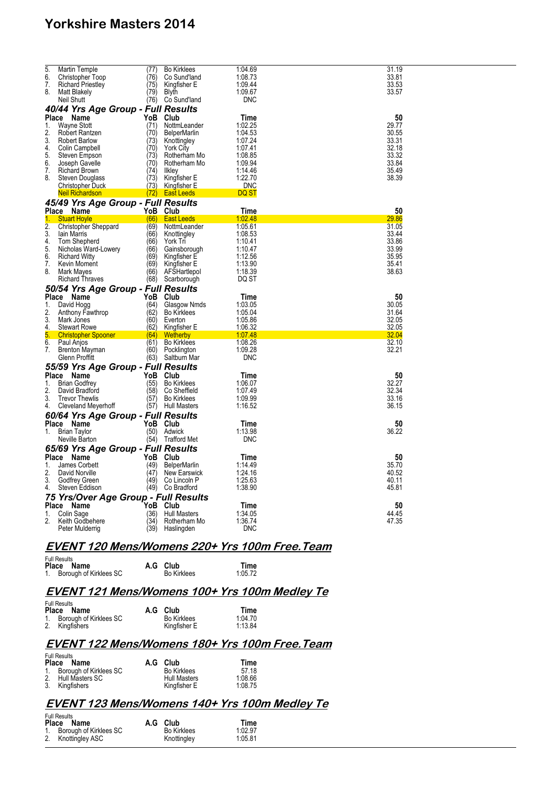| $\overline{5}$<br>6.<br>7.<br>8.                      | Martin Temple<br>Christopher Toop<br><b>Richard Priestley</b><br><b>Matt Blakely</b><br>Neil Shutt                                                                                                                                                              | (77)<br>(76)<br>(75)<br>(79)<br>(76)                                                | <b>Bo Kirklees</b><br>Co Sund'land<br>Kingfisher E<br><b>Blyth</b><br>Co Sund'land                                                                                            | 1:04.69<br>1:08.73<br>1:09.44<br>1:09.67<br><b>DNC</b>                                                              | 31.19<br>33.81<br>33.53<br>33.57                                           |
|-------------------------------------------------------|-----------------------------------------------------------------------------------------------------------------------------------------------------------------------------------------------------------------------------------------------------------------|-------------------------------------------------------------------------------------|-------------------------------------------------------------------------------------------------------------------------------------------------------------------------------|---------------------------------------------------------------------------------------------------------------------|----------------------------------------------------------------------------|
| Place<br>1.<br>2.<br>3.<br>4.<br>5.<br>6.<br>7.<br>8. | 40/44 Yrs Age Group - Full Results<br>Name<br><b>Wayne Stott</b><br>Robert Rantzen<br><b>Robert Barlow</b><br>Colin Campbell<br>Steven Empson<br>Joseph Gavelle<br><b>Richard Brown</b><br>Steven Douglass<br><b>Christopher Duck</b><br><b>Neil Richardson</b> | YoB<br>(71)<br>(70)<br>(73)<br>(70)<br>(73)<br>(70)<br>(74)<br>(73)<br>(73)<br>(72) | Club<br>NottmLeander<br><b>BelperMarlin</b><br>Knottingley<br><b>York City</b><br>Rotherham Mo<br>Rotherham Mo<br>likley<br>Kingfisher E<br>Kingfisher E<br><b>East Leeds</b> | Time<br>1:02.25<br>1:04.53<br>1:07.24<br>1:07.41<br>1:08.85<br>1:09.94<br>1:14.46<br>1:22.70<br><b>DNC</b><br>DQ ST | 50<br>29.77<br>30.55<br>33.31<br>32.18<br>33.32<br>33.84<br>35.49<br>38.39 |
|                                                       | 45/49 Yrs Age Group - Full Results                                                                                                                                                                                                                              |                                                                                     |                                                                                                                                                                               |                                                                                                                     |                                                                            |
|                                                       | Place Name                                                                                                                                                                                                                                                      | YoB Club                                                                            |                                                                                                                                                                               | Time                                                                                                                | 50<br>29.86                                                                |
| 1.<br>2.<br>3.<br>4.<br>5.<br>6.<br>7.<br>8.          | <b>Stuart Hovle</b><br><b>Christopher Sheppard</b><br>lain Marris<br>Tom Shepherd<br>Nicholas Ward-Lowery<br><b>Richard Witty</b><br>Kevin Moment<br>Mark Mayes<br><b>Richard Thraves</b>                                                                       | (66)<br>(69)<br>(66)<br>(66)<br>(66)<br>(69)<br>(69)<br>(66)<br>(68)                | <b>East Leeds</b><br>NottmLeander<br>Knottingley<br>York Tri<br>Gainsborough<br>Kingfisher E<br>Kingfisher E<br>AFSHartlepol<br>Scarborough                                   | 1:02.48<br>1:05.61<br>1:08.53<br>1:10.41<br>1:10.47<br>1:12.56<br>1:13.90<br>1:18.39<br>DQ ST                       | 31.05<br>33.44<br>33.86<br>33.99<br>35.95<br>35.41<br>38.63                |
|                                                       | 50/54 Yrs Age Group - Full Results                                                                                                                                                                                                                              |                                                                                     |                                                                                                                                                                               |                                                                                                                     |                                                                            |
| Place<br>1.<br>2.<br>3.<br>4.                         | Name<br>David Hogg<br>Anthony Fawthrop<br>Mark Jones<br><b>Stewart Rowe</b>                                                                                                                                                                                     | YoB<br>(64)<br>(62)<br>(60)<br>(62)                                                 | Club<br>Glasgow Nmds<br><b>Bo Kirklees</b><br>Everton<br>Kingfisher E                                                                                                         | Time<br>1:03.05<br>1:05.04<br>1:05.86<br>1:06.32                                                                    | 50<br>30.05<br>31.64<br>32.05<br>32.05                                     |
| 5.                                                    | <b>Christopher Spooner</b>                                                                                                                                                                                                                                      | (64)                                                                                | Wetherby                                                                                                                                                                      | 1:07.48                                                                                                             | <b>32.04</b>                                                               |
| 6.<br>7.                                              | Paul Anjos<br><b>Brenton Mayman</b><br>Glenn Proffitt                                                                                                                                                                                                           | (61)<br>(60)<br>(63)                                                                | <b>Bo Kirklees</b><br>Pocklington<br>Saltburn Mar                                                                                                                             | 1:08.26<br>1:09.28<br><b>DNC</b>                                                                                    | 32.10<br>32.21                                                             |
| Place                                                 | 55/59 Yrs Age Group - Full Results                                                                                                                                                                                                                              | YoB                                                                                 | Club                                                                                                                                                                          | Time                                                                                                                | 50                                                                         |
| $\mathbf{1}$ .<br>2.<br>3.<br>4.                      | Name<br><b>Brian Godfrev</b><br>David Bradford<br><b>Trevor Thewlis</b><br>Cleveland Meyerhoff                                                                                                                                                                  | (55)<br>(58)<br>(57)<br>(57)                                                        | <b>Bo Kirklees</b><br>Co Sheffield<br><b>Bo Kirklees</b><br><b>Hull Masters</b>                                                                                               | 1:06.07<br>1:07.49<br>1:09.99<br>1:16.52                                                                            | 32.27<br>32.34<br>33.16<br>36.15                                           |
|                                                       | 60/64 Yrs Age Group - Full Results                                                                                                                                                                                                                              |                                                                                     |                                                                                                                                                                               |                                                                                                                     |                                                                            |
| 1.                                                    | Place Name<br><b>Brian Taylor</b><br>Neville Barton                                                                                                                                                                                                             | YoB<br>(50)<br>(54)                                                                 | Club<br>Adwick<br><b>Trafford Met</b>                                                                                                                                         | Time<br>1:13.98<br><b>DNC</b>                                                                                       | 50<br>36.22                                                                |
|                                                       | 65/69 Yrs Age Group - Full Results                                                                                                                                                                                                                              |                                                                                     |                                                                                                                                                                               |                                                                                                                     |                                                                            |
| Place<br>1.<br>2.<br>3.<br>4.                         | Name<br>James Corbett<br>David Norville<br>Godfrey Green<br>Steven Eddison                                                                                                                                                                                      | YoB<br>(49)<br>(47)<br>(49)<br>(49)                                                 | Club<br><b>BelperMarlin</b><br>New Earswick<br>Co Lincoln P<br>Co Bradford                                                                                                    | Time<br>1:14.49<br>1:24.16<br>1:25.63<br>1:38.90                                                                    | 50<br>35.70<br>40.52<br>40.11<br>45.81                                     |
|                                                       | 75 Yrs/Over Age Group - Full Results                                                                                                                                                                                                                            |                                                                                     |                                                                                                                                                                               |                                                                                                                     |                                                                            |
| <b>Place</b><br>1.<br>2.                              | Name<br>Colin Sage<br>Keith Godbehere<br>Peter Mulderrig                                                                                                                                                                                                        | YoB<br>(36)<br>(34)<br>(39)                                                         | Club<br><b>Hull Masters</b><br>Rotherham Mo<br>Haslingden                                                                                                                     | Time<br>1:34.05<br>1:36.74<br><b>DNC</b>                                                                            | 50<br>44.45<br>47.35                                                       |

### **EVENT 120 Mens/Womens 220+ Yrs 100m Free.Team**

| <b>Full Results</b>       |                    |         |
|---------------------------|--------------------|---------|
| Place Name                | A.G Club           | Time    |
| 1. Borough of Kirklees SC | <b>Bo Kirklees</b> | 1:05.72 |

### **EVENT 121 Mens/Womens 100+ Yrs 100m Medley Te**

| <b>Full Results</b>       |                    |         |
|---------------------------|--------------------|---------|
| Place Name                | A.G Club           | Time    |
| 1. Borough of Kirklees SC | <b>Bo Kirklees</b> | 1:04.70 |
| 2. Kingfishers            | Kingfisher E       | 1:13.84 |

## **EVENT 122 Mens/Womens 180+ Yrs 100m Free.Team**

| <b>Full Results</b><br>Place Name | A.G Club            | Time    |
|-----------------------------------|---------------------|---------|
| 1. Borough of Kirklees SC         | <b>Bo Kirklees</b>  | 57 18   |
| 2. Hull Masters SC                | <b>Hull Masters</b> | 1:08.66 |
| 3. Kingfishers                    | Kingfisher E        | 1:08.75 |

## **EVENT 123 Mens/Womens 140+ Yrs 100m Medley Te**

| <b>Full Results</b>       |                    |         |
|---------------------------|--------------------|---------|
| Place Name                | A.G Club           | Time    |
| 1. Borough of Kirklees SC | <b>Bo Kirklees</b> | 1:02.97 |
| 2. Knottingley ASC        | Knottingley        | 1:05.81 |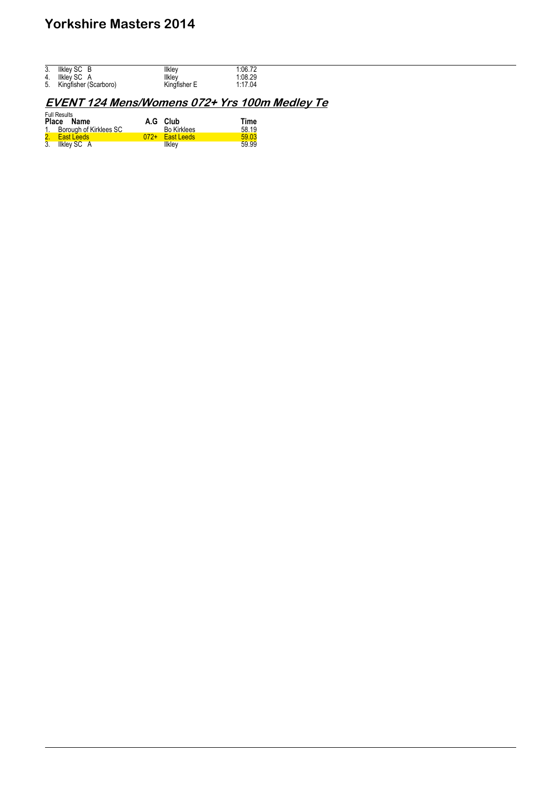| 3. | Ilkley SC B              | Ilklev       | 1:06.72 |
|----|--------------------------|--------------|---------|
| 4. | Ilkley SC A              | Ilklev       | 1:08.29 |
|    | 5. Kingfisher (Scarboro) | Kingfisher E | 1:17.04 |

## **EVENT 124 Mens/Womens 072+ Yrs 100m Medley Te**

| <b>Full Results</b><br>Place Name | A.G Club           | Time  |
|-----------------------------------|--------------------|-------|
| 1. Borough of Kirklees SC         | <b>Bo Kirklees</b> | 58.19 |
| 2. East Leeds                     | 072+ East Leeds    | 59.03 |
| 3. Ilkley SC A                    | Ilkley             | 59.99 |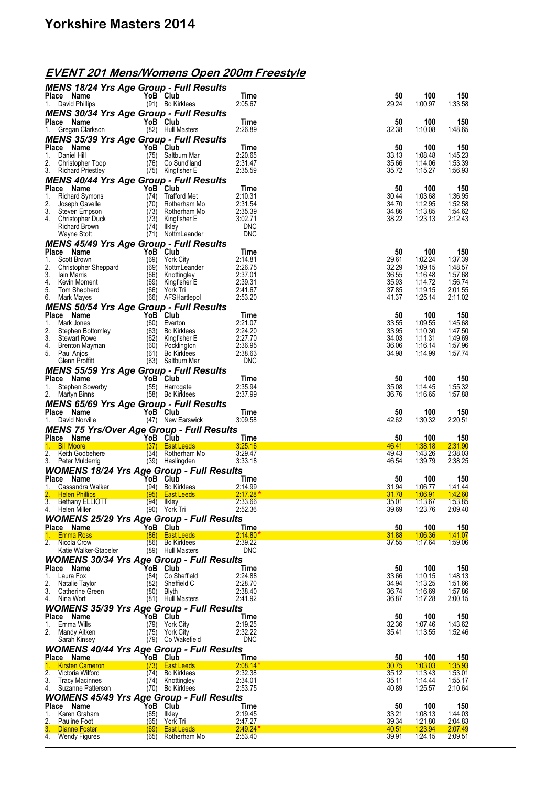| <b>EVENT 201 Mens/Womens Open 200m Freestyle</b> |  |
|--------------------------------------------------|--|
|                                                  |  |

| <b>MENS 18/24 Yrs Age Group - Full Results</b>                       |               |                                                    |                                  |                                |                               |                               |
|----------------------------------------------------------------------|---------------|----------------------------------------------------|----------------------------------|--------------------------------|-------------------------------|-------------------------------|
| Place Name<br>1. David Phillips                                      | YoB Club      | (91) Bo Kirklees                                   | Time<br>2:05.67                  | 50<br>29.24                    | 100<br>1:00.97                | 150<br>1:33.58                |
| <b>MENS 30/34 Yrs Age Group - Full Results</b>                       |               |                                                    |                                  |                                |                               |                               |
| Place Name                                                           | YoB Club      |                                                    | Time                             | 50                             | 100                           | 150                           |
| 1. Gregan Clarkson<br><b>MENS 35/39 Yrs Age Group - Full Results</b> |               | (82) Hull Masters                                  | 2:26.89                          | 32.38                          | 1:10.08                       | 1:48.65                       |
| Place Name                                                           | YoB Club      |                                                    | Time                             | 50                             | 100                           | 150                           |
| 1.<br>Daniel Hill                                                    | (75)          | Saltburn Mar                                       | 2:20.65                          | 33.13                          | 1:08.48                       | 1:45.23                       |
| 2.<br>Christopher Toop<br>3. Richard Priestley                       |               | (76) Co Sund'land<br>(75) Kingfisher E             | 2:31.47<br>2:35.59               | 35.66<br>35.72                 | 1:14.06<br>1:15.27            | 1:53.39<br>1:56.93            |
| <b>MENS 40/44 Yrs Age Group - Full Results</b>                       |               |                                                    |                                  |                                |                               |                               |
| Place Name                                                           |               | YoB Club                                           | Time                             | 50                             | 100                           | 150                           |
| 1.<br><b>Richard Symons</b><br>2.<br>Joseph Gavelle                  | (74)          | Trafford Met<br>(70) Rotherham Mo                  | 2:10.31<br>2:31.54               | 30.44<br>34.70                 | 1:03.68<br>1:12.95            | 1:36.95<br>1:52.58            |
| 3.<br>Steven Empson                                                  |               | $(73)$ Rotherham Mo                                | 2:35.39                          | 34.86                          | 1:13.85                       | 1:54.62                       |
| 4.<br>Christopher Duck<br>Richard Brown                              |               | (73) Kingfisher E<br>(74) Ilkley                   | 3:02.71<br><b>DNC</b>            | 38.22                          | 1:23.13                       | 2:12.43                       |
| Wayne Stott                                                          |               | (71) NottmLeander                                  | <b>DNC</b>                       |                                |                               |                               |
| <b>MENS 45/49 Yrs Age Group - Full Results</b>                       |               |                                                    |                                  |                                |                               |                               |
| Place Name<br>Scott Brown<br>1.                                      | YoB Club      | (69) York City                                     | Time<br>2:14.81                  | 50<br>29.61                    | 100<br>1:02.24                | 150<br>1:37.39                |
| 2.<br>Christopher Sheppard                                           |               | (69) NottmLeander                                  | 2:26.75                          | 32.29                          | 1:09.15                       | 1:48.57                       |
| 3.<br>lain Marris<br>4.<br>Kevin Moment                              |               | (66) Knottingley<br>(69) Kingfisher E              | 2:37.01<br>2:39.31               | 36.55<br>35.93                 | 1:16.48<br>1:14.72            | 1:57.68<br>1:56.74            |
| 5.<br>Tom Shepherd                                                   |               | (66) York Tri                                      | 2:41.67                          | 37.85                          | 1:19.15                       | 2:01.55                       |
| 6. Mark Mayes                                                        |               | (66) AFSHartlepol                                  | 2:53.20                          | 41.37                          | 1:25.14                       | 2:11.02                       |
| <b>MENS 50/54 Yrs Age Group - Full Results</b><br>Place Name         | YoB Club      |                                                    | Time                             | 50                             | 100                           | 150                           |
| 1.<br>Mark Jones                                                     |               | (60) Everton                                       | 2:21.07                          | 33.55                          | 1:09.55                       | 1:45.68                       |
| 2.<br>Stephen Bottomley<br>3.                                        |               | (63) Bo Kirklees<br>$(62)$ Kingfisher E            | 2:24.20<br>2:27.70               | 33.95<br>34.03                 | 1:10.30<br>1:11.31            | 1:47.50<br>1:49.69            |
| <b>Stewart Rowe</b><br>4.<br>Brenton Mayman                          |               | (60) Pocklington                                   | 2:36.95                          | 36.06                          | 1:16.14                       | 1:57.96                       |
| 5. Paul Anjos                                                        |               | (61) Bo Kirklees                                   | 2:38.63                          | 34.98                          | 1:14.99                       | 1:57.74                       |
| Glenn Proffitt                                                       |               | (63) Saltburn Mar                                  | <b>DNC</b>                       |                                |                               |                               |
| <b>MENS 55/59 Yrs Age Group - Full Results</b><br>Place Name         | YoB Club      |                                                    | Time                             | 50                             | 100                           | 150                           |
| 1.<br>Stephen Sowerby                                                |               | (55) Harrogate                                     | 2:35.94                          | 35.08                          | 1:14.45                       | 1:55.32                       |
| 2.<br>Martyn Binns                                                   |               | (58) Bo Kirklees                                   | 2:37.99                          | 36.76                          | 1:16.65                       | 1:57.88                       |
| <b>MENS 65/69 Yrs Age Group - Full Results</b>                       |               |                                                    |                                  |                                |                               |                               |
|                                                                      |               |                                                    |                                  |                                |                               |                               |
| Place Name<br>1. David Norville                                      |               | YoB Club<br>(47) New Earswick                      | Time<br>3:09.58                  | 50<br>42.62                    | 100<br>1:30.32                | 150<br>2:20.51                |
| MENS 75 Yrs/Over Age Group - Full Results                            |               |                                                    |                                  |                                |                               |                               |
| Place Name                                                           |               | YoB Club                                           | Time                             | 50                             | 100                           | 150                           |
| <b>Bill Moore</b><br>$1 -$<br>2.<br>Keith Godbehere                  |               | (37) East Leeds<br>(34) Rotherham Mo               | 3:25.16<br>3:29.47               | 46.41<br>49.43                 | 1:38.18<br>1:43.26            | 2:31.90<br>2:38.03            |
| 3. Peter Mulderrig                                                   |               | (39) Haslingden                                    | 3:33.18                          | 46.54                          | 1:39.79                       | 2:38.25                       |
| <b>WOMENS 18/24 Yrs Age Group - Full Results</b>                     |               |                                                    |                                  |                                |                               |                               |
| Place Name<br>Cassandra Walker                                       | `YoB Club     | (94) Bo Kirklees                                   | Time<br>2:14.99                  | 50<br>31.94                    | 100<br>1:06.77                | 150<br><u>141.44</u>          |
| 2. Helen Phillips                                                    |               | (95) East Leeds                                    | $2:17.28*$                       | 31.78                          | <u>1:06.91</u>                | 1:42.60                       |
| 3. Bethany ELLIOTT<br>4. Helen Miller                                | $(94)$ Ilkley | (90) York Tri                                      | 2:33.66<br>2:52.36               | 35.01<br>39.69                 | 1:13.67<br>1:23.76            | 1:53.85<br>2:09.40            |
| <b>WOMENS 25/29 Yrs Age Group - Full Results</b>                     |               |                                                    |                                  |                                |                               |                               |
| Place Name                                                           |               | YoB Club                                           | Time                             | 50                             | 100                           | <u>150</u>                    |
| <b>Emma Ross</b><br>1.<br>2. Nicola Crow                             | (86)          | (86) East Leeds<br><b>Bo Kirklees</b>              | $2:14.80*$<br>2:39.22            | 31.88<br>37.55                 | 1:06.36<br>1:17.64            | 1:41.07<br>1:59.06            |
| Katie Walker-Stabeler                                                |               | (89) Hull Masters                                  | <b>DNC</b>                       |                                |                               |                               |
| <b>WOMENS 30/34 Yrs Age Group - Full Results</b>                     |               |                                                    |                                  |                                |                               |                               |
| Place Name<br>1.<br>Laura Fox                                        | (84)          | YoB Club<br>Co Sheffield                           | Time<br>2:24.88                  | 50<br>33.66                    | 100<br>1:10.15                | 150<br>1:48.13                |
| 2.<br>Natalie Taylor                                                 | (82)          | Sheffield C                                        | 2:28.70                          | 34.94                          | 1:13.25                       | 1:51.66                       |
| 3.<br>Catherine Green<br>4.<br>Nina Wort                             | $(80)$ Blyth  | (81) Hull Masters                                  | 2:38.40<br>2:41.92               | 36.74<br>36.87                 | 1:16.69<br>1:17.28            | 1:57.86<br>2:00.15            |
| <b>WOMENS 35/39 Yrs Age Group - Full Results</b>                     |               |                                                    |                                  |                                |                               |                               |
| Place Name                                                           |               | YoB Club                                           | Time                             | 50                             | 100                           | 150                           |
| Emma Wills<br>1.<br>2.<br>Mandy Aitken                               | (75)          | (79) York City<br><b>York City</b>                 | 2:19.25<br>2:32.22               | 32.36<br>35.41                 | 1:07.46<br>1:13.55            | 1:43.62<br>1:52.46            |
| Sarah Kinsey                                                         | (79)          | Co Wakefield                                       | <b>DNC</b>                       |                                |                               |                               |
| <b>WOMENS 40/44 Yrs Age Group - Full Results</b>                     |               |                                                    |                                  |                                |                               |                               |
| Place Name<br><b>Kirsten Cameron</b><br>1.                           | (73)          | YoB Club<br><b>East Leeds</b>                      | Time<br>$2.08.14*$               | 50<br>30.75                    | 100<br>1:03.03                | <u>150</u><br>1:35.93         |
| 2.<br>Victoria Wilford                                               | (74)          | <b>Bo Kirklees</b>                                 | 2:32.38                          | 35.12                          | 1:13.43                       | 1:53.01                       |
| 3.<br><b>Tracy Macinnes</b>                                          |               | (74) Knottingley                                   | 2:34.01                          | 35.11                          | 1:14.44                       | 1:55.17                       |
| 4.<br>Suzanne Patterson                                              |               | (70) Bo Kirklees                                   | 2:53.75                          | 40.89                          | 1:25.57                       | 2:10.64                       |
| <b>WOMENS 45/49 Yrs Age Group - Full Results</b><br>Place Name       |               | YoB Club                                           | Time                             | 50                             | 100                           | 150                           |
| Karen Graham<br>1.                                                   | (65)          | llkley                                             | 2:19.45                          | 33.21                          | 1:08.13                       | 1:44.03                       |
| 2.<br>Pauline Foot<br>3.<br><b>Dianne Foster</b><br>4. Wendy Figures | (65)<br>(69)  | York Tri<br><b>East Leeds</b><br>(65) Rotherham Mo | 2:47.27<br>$2.49.24*$<br>2:53.40 | 39.34<br><u>40.51</u><br>39.91 | 1:21.80<br>1:23.94<br>1:24.15 | 2:04.83<br>2:07.49<br>2:09.51 |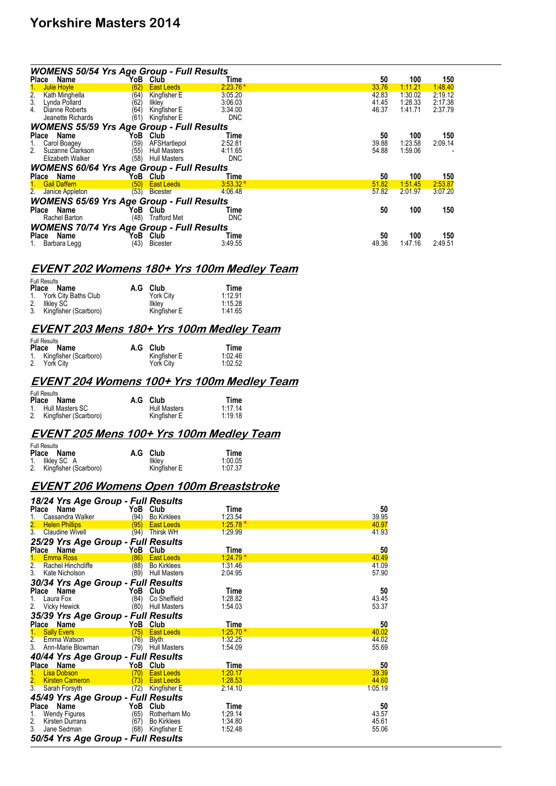| <b>WOMENS 50/54 Yrs Age Group - Full Results</b> |                             |            |       |         |         |  |  |
|--------------------------------------------------|-----------------------------|------------|-------|---------|---------|--|--|
| Place Name                                       | YoB<br>Club                 | Time       | 50    | 100     | 150     |  |  |
| Julie Hoyle<br>1.                                | (62)<br><b>East Leeds</b>   | $2:23.76*$ | 33.76 | 1:11.21 | 1.48.40 |  |  |
| $\frac{2}{3}$<br>Kath Minghella                  | (64)<br>Kingfisher E        | 3:05.20    | 42.83 | 1:30.02 | 2:19.12 |  |  |
| Lynda Pollard                                    | (62<br>llkley               | 3:06.03    | 41.45 | 1:28.33 | 2:17.38 |  |  |
| Dianne Roberts<br>4.                             | (64)<br>Kingfisher E        | 3:34.00    | 46.37 | 1:41.71 | 2:37.79 |  |  |
| Jeanette Richards                                | Kingfisher E<br>(61`        | <b>DNC</b> |       |         |         |  |  |
| <b>WOMENS 55/59 Yrs Age Group - Full Results</b> |                             |            |       |         |         |  |  |
| Place<br>Name                                    | YoB<br>Club                 | Time       | 50    | 100     | 150     |  |  |
| Carol Boagey<br>1.                               | AFSHartlepol<br>(59)        | 2:52.81    | 39.88 | 1:23.58 | 2:09.14 |  |  |
| 2.<br>Suzanne Clarkson                           | (55)<br><b>Hull Masters</b> | 4:11.65    | 54.88 | 1:59.06 |         |  |  |
| Elizabeth Walker                                 | (58)<br><b>Hull Masters</b> | <b>DNC</b> |       |         |         |  |  |
| <b>WOMENS 60/64 Yrs Age Group - Full Results</b> |                             |            |       |         |         |  |  |
| Place Name                                       | YoB<br>Club                 | Time       | 50    | 100     | 150     |  |  |
| <b>Gail Daffern</b><br>$1 -$                     | (50)<br><b>East Leeds</b>   | $3:53.32*$ | 51.82 | 1:51.45 | 2:53.87 |  |  |
| 2.<br>Janice Appleton                            | (53)<br><b>Bicester</b>     | 4:06.48    | 57.82 | 2:01.97 | 3:07.20 |  |  |
| <b>WOMENS 65/69 Yrs Age Group - Full Results</b> |                             |            |       |         |         |  |  |
| Place Name                                       | YoB<br>Club                 | Time       | 50    | 100     | 150     |  |  |
| Rachel Barton                                    | (48)<br>Trafford Met        | <b>DNC</b> |       |         |         |  |  |
| <b>WOMENS 70/74 Yrs Age Group - Full Results</b> |                             |            |       |         |         |  |  |
| Name<br>Place                                    | YoB<br>Club                 | Time       | 50    | 100     | 150     |  |  |
| 1. Barbara Legg                                  | (43)<br><b>Bicester</b>     | 3:49.55    | 49.36 | 1:47.16 | 2:49.51 |  |  |

### **EVENT 202 Womens 180+ Yrs 100m Medley Team**

|    | <b>FUII RESUILS</b><br>Place Name | A.G Club         | Time    |
|----|-----------------------------------|------------------|---------|
|    | 1. York City Baths Club           | <b>York City</b> | 1:12.91 |
| 2. | Ilklev SC                         | <b>Ilkley</b>    | 1:15.28 |
|    | 3. Kingfisher (Scarboro)          | Kingfisher E     | 1:41.65 |

Full Results

 $\mathbf{r}$   $\mathbf{r}$ 

#### **EVENT 203 Mens 180+ Yrs 100m Medley Team**

| <b>Full Results</b>      |              |         |
|--------------------------|--------------|---------|
| Place Name               | A.G Club     | Time    |
| 1. Kingfisher (Scarboro) | Kingfisher E | 1:02.46 |
| 2. York Citv             | York City    | 1:02.52 |

#### **EVENT 204 Womens 100+ Yrs 100m Medley Team**

| <b>Full Results</b>      |                     |         |
|--------------------------|---------------------|---------|
| Place Name               | A.G Club            | Time    |
| 1. Hull Masters SC       | <b>Hull Masters</b> | 1.1714  |
| 2. Kingfisher (Scarboro) | Kingfisher E        | 1:19.18 |

#### **EVENT 205 Mens 100+ Yrs 100m Medley Team**

| Full Results<br>Place Name | A.G Club     | Time    |
|----------------------------|--------------|---------|
| 1. Ilkley SC A             | Ilkley       | 1:00.05 |
| 2. Kingfisher (Scarboro)   | Kingfisher E | 1:07.37 |

### **EVENT 206 Womens Open 100m Breaststroke**

| 18/24 Yrs Age Group - Full Results        |                      |                     |            |         |
|-------------------------------------------|----------------------|---------------------|------------|---------|
| Place<br>Name                             |                      | YoB Club            | Time       | 50      |
| Cassandra Walker                          | (94)                 | <b>Bo Kirklees</b>  | 1:23.54    | 39.95   |
| $\overline{2}$ .<br><b>Helen Phillips</b> | (95)                 | <b>East Leeds</b>   | $1:25.78*$ | 40.97   |
| 3.<br><b>Claudine Wivell</b>              | (94)                 | Thirsk WH           | 1:29.99    | 41.93   |
| 25/29 Yrs Age Group - Full Results        |                      |                     |            |         |
| Place<br>Name                             | YoB                  | Club                | Time       | 50      |
| 1 <sub>1</sub><br><b>Emma Ross</b>        | (86)                 | <b>East Leeds</b>   | $1.24.79*$ | 40.49   |
| 2.<br>Rachel Hinchcliffe                  | (88)                 | <b>Bo Kirklees</b>  | 1:31.46    | 41.09   |
| 3.<br>Kate Nicholson                      | (89)                 | <b>Hull Masters</b> | 2:04.95    | 57.90   |
| 30/34 Yrs Age Group - Full Results        |                      |                     |            |         |
| Place<br>Name                             |                      | YoB Club            | Time       | 50      |
| Laura Fox<br>1.                           | (84)                 | Co Sheffield        | 1:28.82    | 43.45   |
| 2.<br><b>Vicky Hewick</b>                 | (80)                 | <b>Hull Masters</b> | 1:54.03    | 53.37   |
| 35/39 Yrs Age Group - Full Results        |                      |                     |            |         |
| Place Name                                |                      | YoB Club            | Time       | 50      |
| 1.<br><b>Sally Evers</b>                  |                      | (75) East Leeds     | $1:25.70*$ | 40.02   |
| $\overline{2}$ .<br>Emma Watson           | (76)                 | Blyth               | 1:32.25    | 44.02   |
| 3.<br>Ann-Marie Blowman                   | (79)                 | <b>Hull Masters</b> | 1:54.09    | 55.69   |
| 40/44 Yrs Age Group - Full Results        |                      |                     |            |         |
| Place Name                                |                      | YoB Club            | Time       | 50      |
| 1 <sub>1</sub><br><b>Lisa Dobson</b>      | (70)                 | <b>East Leeds</b>   | 1:20.17    | 39.39   |
| 2.<br><b>Kirsten Cameron</b>              | $\langle 73 \rangle$ | <b>East Leeds</b>   | 1:28.53    | 44.60   |
| $\overline{3}$ .<br>Sarah Forsyth         | (72)                 | Kingfisher E        | 2:14.10    | 1:05.19 |
| 45/49 Yrs Age Group - Full Results        |                      |                     |            |         |
| Place<br>Name                             |                      | YoB Club            | Time       | 50      |
| 1.<br>Wendy Figures                       | (65)                 | Rotherham Mo        | 1:29.14    | 43.57   |
| 2.<br>Kirsten Durrans                     | (67)                 | <b>Bo Kirklees</b>  | 1:34.80    | 45.61   |
| 3.<br>Jane Sedman                         | (68)                 | Kingfisher E        | 1:52.48    | 55.06   |
| 50/54 Yrs Age Group - Full Results        |                      |                     |            |         |
|                                           |                      |                     |            |         |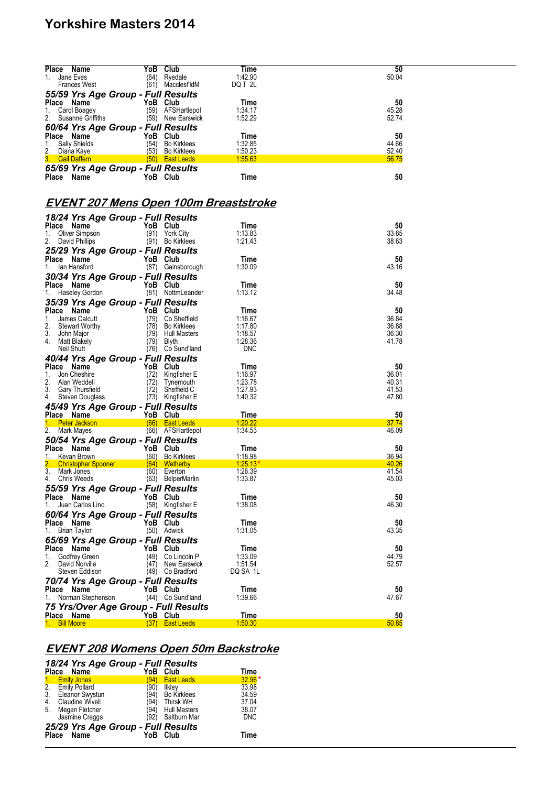| Place Name                  |                                                        | YoB Club         |                                           | Time                                         | 50             |
|-----------------------------|--------------------------------------------------------|------------------|-------------------------------------------|----------------------------------------------|----------------|
| 1.                          | Jane Eves<br><b>Frances West</b>                       | (64)             | Ryedale<br>(61) MacclesfldM               | 1:42.90<br>DQ T 2L                           | 50.04          |
|                             | 55/59 Yrs Age Group - Full Results                     |                  |                                           |                                              |                |
| Place Name<br>1.            | Carol Boagey                                           | YoB Club         | (59) AFSHartlepol                         | Time<br>1:34.17                              | 50<br>45.28    |
| 2.                          | Susanne Griffiths                                      |                  | (59) New Earswick                         | 1:52.29                                      | 52.74          |
|                             | 60/64 Yrs Age Group - Full Results                     |                  |                                           |                                              |                |
| Place Name<br>1.            | <b>Sally Shields</b>                                   | YoB Club<br>(54) | <b>Bo Kirklees</b>                        | Time<br>1:32.85                              | 50<br>44.66    |
| 2.                          | Diana Kaye                                             | (53)             | Bo Kirklees                               | 1:50.23                                      | 52.40          |
|                             | 3. Gail Daffern                                        |                  | $(50)$ East Leeds                         | 1:55.63                                      | 56.75          |
| Place Name                  | 65/69 Yrs Age Group - Full Results                     | YoB Club         |                                           | Time                                         | 50             |
|                             |                                                        |                  |                                           |                                              |                |
|                             |                                                        |                  |                                           | <u>EVENT 207 Mens Open 100m Breaststroke</u> |                |
|                             |                                                        |                  |                                           |                                              |                |
| Place Name                  | 18/24 Yrs Age Group - Full Results                     | YoB Club         |                                           | Time                                         | 50             |
| 1.                          | Oliver Simpson                                         | (91)             | York City                                 | 1:13.83                                      | 33.65          |
| 2.                          | David Phillips                                         |                  | (91) Bo Kirklees                          | 1:21.43                                      | 38.63          |
|                             | 25/29 Yrs Age Group - Full Results<br>Place Name       | YoB Club         |                                           | Time                                         | 50             |
|                             | 1. Ian Hansford                                        |                  | (87) Gainsborough                         | 1:30.09                                      | 43.16          |
|                             | 30/34 Yrs Age Group - Full Results                     |                  |                                           |                                              |                |
| Place Name                  | 1. Haseley Gordon                                      | YoB Club         | (81) NottmLeander                         | Time<br>1:13.12                              | 50<br>34.48    |
|                             | 35/39 Yrs Age Group - Full Results                     |                  |                                           |                                              |                |
| Place Name                  |                                                        | YoB Club         |                                           | Time                                         | 50             |
| 1.<br>2.                    | James Calcutt<br><b>Stewart Worthy</b>                 | (79)             | Co Sheffield                              | 1:16.67                                      | 36.84<br>36.88 |
| 3.                          | John Major                                             | (78)<br>(79)     | <b>Bo Kirklees</b><br><b>Hull Masters</b> | 1:17.80<br>1:18.57                           | 36.30          |
| 4.                          | Matt Blakely                                           | (79)             | Blyth                                     | 1:28.36                                      | 41.78          |
|                             | Neil Shutt<br>40/44 Yrs Age Group - Full Results       |                  | (76) Co Sund'land                         | <b>DNC</b>                                   |                |
| Place Name                  |                                                        | YoB Club         |                                           | Time                                         | 50             |
| 1.                          | Jon Cheshire                                           | (72)             | Kingfisher E                              | 1:16.97                                      | 36.01          |
| 2.<br>3.                    | Alan Weddell<br><b>Gary Thursfield</b>                 | (72)<br>(72)     | Tynemouth<br>Sheffield C                  | 1:23.78<br>1:27.93                           | 40.31<br>41.53 |
|                             | 4. Steven Douglass                                     |                  | (73) Kingfisher E                         | 1:40.32                                      | 47.80          |
|                             | 45/49 Yrs Age Group - Full Results                     |                  |                                           |                                              |                |
|                             | Place Name<br>1. Peter Jackson                         | YoB Club         | (66) East Leeds                           | Time<br>1:20.22                              | 50<br>37.74    |
| 2.                          | Mark Mayes                                             |                  | (66) AFSHartlepol                         | 1:34.53                                      | 46.09          |
|                             | 50/54 Yrs Age Group - Full Results                     |                  |                                           |                                              |                |
| 1.                          | Place Name<br>Kevan Brown                              | YoB Club<br>(60) | <b>Bo Kirklees</b>                        | Time<br>1:18.98                              | 50<br>36.94    |
|                             | <b>Christopher Spooner</b>                             | (64)             | <b>Wetherby</b>                           | 1.25.13                                      | 40.26          |
| 3.<br>4.                    | Mark Jones<br><b>Chris Weeds</b>                       | (60)<br>(63)     | Everton<br><b>BelperMarlin</b>            | 1:26.39<br>1:33.87                           | 41.54<br>45.03 |
|                             | 55/59 Yrs Age Group - Full Results                     |                  |                                           |                                              |                |
| Place Name                  |                                                        | YoB Club         |                                           | Time                                         | 50             |
| 1.                          | Juan Carlos Lino<br>60/64 Yrs Age Group - Full Results |                  | (58) Kingfisher E                         | 1:38.08                                      | 46.30          |
|                             | Place Name                                             | YoB Club         |                                           | Time                                         | 50             |
| 1.                          | Brian Taylor                                           |                  | (50) Adwick                               | 1:31.05                                      | 43.35          |
|                             | 65/69 Yrs Age Group - Full Results                     |                  |                                           |                                              |                |
| Place Name<br>1.            | Godfrey Green                                          | YoB<br>(49)      | Club<br>Co Lincoln P                      | Time<br>1:33.09                              | 50<br>44.79    |
| 2.                          | David Norville                                         | (47)             | New Earswick                              | 1:51.54                                      | 52.57          |
|                             | Steven Eddison                                         |                  | (49) Co Bradford                          | DQ SA 1L                                     |                |
| Place Name                  | 70/74 Yrs Age Group - Full Results                     | YoB Club         |                                           | Time                                         | 50             |
| 1.                          | Norman Stephenson                                      |                  | (44) Co Sund'land                         | 1:39.66                                      | 47.67          |
|                             |                                                        |                  | 75 Yrs/Over Age Group - Full Results      |                                              |                |
| Place Name<br>1. Bill Moore |                                                        | YoB Club         | $(37)$ East Leeds                         | Time<br>1:50.30                              | 50<br>50.85    |
|                             |                                                        |                  |                                           |                                              |                |

## **EVENT 208 Womens Open 50m Backstroke**

|                                    | 18/24 Yrs Age Group - Full Results |          |                   |            |  |  |  |
|------------------------------------|------------------------------------|----------|-------------------|------------|--|--|--|
|                                    | Place Name                         | YoB Club |                   | Time       |  |  |  |
| 1 <sub>1</sub>                     | <b>Emily Jones</b>                 | (94)     | <b>East Leeds</b> | $32.96*$   |  |  |  |
|                                    | 2. Emily Pollard                   | (90)     | Ilkley            | 33.98      |  |  |  |
| $\overline{3}$ .                   | Eleanor Swystun                    |          | (94) Bo Kirklees  | 34.59      |  |  |  |
| 4.                                 | Claudine Wivell                    | (94)     | Thirsk WH         | 37.04      |  |  |  |
| 5.                                 | Megan Fletcher                     |          | (94) Hull Masters | 38.07      |  |  |  |
|                                    | Jasmine Craggs                     | (92)     | Saltburn Mar      | <b>DNC</b> |  |  |  |
| 25/29 Yrs Age Group - Full Results |                                    |          |                   |            |  |  |  |
|                                    | Place Name                         | YoB Club |                   | Time       |  |  |  |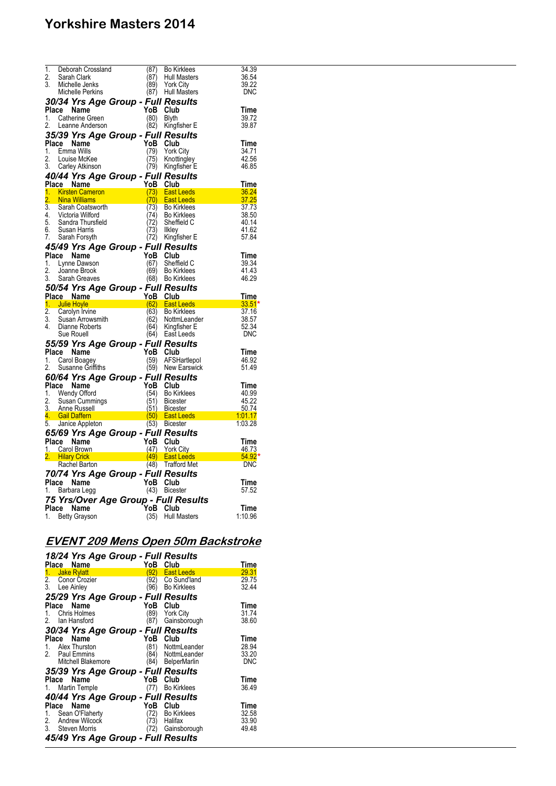| 1.               | Deborah Crossland                     | (87)     | <b>Bo Kirklees</b>  | 34.39          |
|------------------|---------------------------------------|----------|---------------------|----------------|
| 2.               | Sarah Clark                           | (87)     | Hull Masters        | 36.54          |
| 3.               | Michelle Jenks                        | (89)     | York City           | 39.22          |
|                  |                                       |          | <b>Hull Masters</b> | <b>DNC</b>     |
|                  | Michelle Perkins                      | (87)     |                     |                |
|                  | 30/34 Yrs Age Group - Full Results    |          |                     |                |
|                  | Place Name                            | YoB      | Club                | Time           |
| 1.               | Catherine Green                       | (80)     | <b>Blyth</b>        | 39.72          |
| 2.               | Leanne Anderson                       | (82)     | Kingfisher E        | 39.87          |
|                  | 35/39 Yrs Age Group - Full Results    |          |                     |                |
|                  | Place Name                            | YoB      | Club                |                |
| 1.               |                                       |          |                     | Time           |
|                  | Emma Wills                            | (79)     | <b>York City</b>    | 34.71          |
| 2.               | Louise McKee                          | (75)     | Knottingley         | 42.56          |
| 3.               | Carley Atkinson                       |          | (79) Kingfisher E   | 46.85          |
|                  | 40/44 Yrs Age Group - Full Results    |          |                     |                |
|                  | Place Name                            | YoB      | Club                | Time           |
| 1.               | <b>Kirsten Cameron</b>                | (73)     | <b>East Leeds</b>   | 36.24          |
| $\overline{2}$ . | <b>Nina Williams</b>                  | (70)     | <b>East Leeds</b>   | 37.25          |
| $\overline{3}$ . | Sarah Coatsworth                      | (73)     | <b>Bo Kirklees</b>  | 37.73          |
| 4.               | Saran<br>Victoria Wilford<br>Thursfie | (74)     | <b>Bo Kirklees</b>  | 38.50          |
| 5.               | Sandra Thursfield                     | (72)     | Sheffield C         | 40.14          |
| 6.               | Susan Harris                          | (73)     | <b>Ilkley</b>       | 41.62          |
| 7.               | Sarah Forsyth                         | (72)     | Kingfisher E        | 57.84          |
|                  | 45/49 Yrs Age Group - Full Results    |          |                     |                |
|                  | Place Name                            | YoB      | Club                |                |
|                  |                                       |          |                     | Time           |
| 1.<br>2.         | Lynne Dawson                          | (67)     | Sheffield C         | 39.34<br>41.43 |
|                  | Joanne Brook                          | (69)     | <b>Bo Kirklees</b>  |                |
| 3.               | Sarah Greaves                         | (68)     | <b>Bo Kirklees</b>  | 46.29          |
|                  | 50/54 Yrs Age Group - Full Results    |          |                     |                |
|                  | Place Name                            |          | YoB Club            | Time           |
|                  | 1. Julie Hoyle                        | (62)     | <b>East Leeds</b>   | $33.51*$       |
| $\overline{2}$ . | Carolyn Irvine                        | (63)     | <b>Bo Kirklees</b>  | 37.16          |
| 3.               | Susan Arrowsmith                      | (62)     | NottmLeander        | 38.57          |
|                  | 4. Dianne Roberts                     | (64)     | Kingfisher E        | 52.34          |
|                  | Sue Rouell                            | (64)     | East Leeds          | <b>DNC</b>     |
|                  | 55/59 Yrs Age Group - Full Results    |          |                     |                |
|                  | Place Name                            | YoB      | Club                | Time           |
| 1.               | Carol Boagey                          | (59)     | AFSHartlepol        | 46.92          |
| 2.               | Susanne Griffiths                     | (59)     | New Earswick        | 51.49          |
|                  |                                       |          |                     |                |
|                  | 60/64 Yrs Age Group - Full Results    |          |                     |                |
|                  | Place Name                            | YoB      | Club                | Time           |
| 1.               | Wendy Offord                          | (54)     | <b>Bo Kirklees</b>  | 40.99          |
| 2.               | Susan Cummings                        | (51)     | <b>Bicester</b>     | 45.22          |
|                  | 3. Anne Russell                       |          | (51) Bicester       | 50.74          |
|                  | 4. Gail Daffern                       |          | (50) East Leeds     | 1.01.17        |
|                  | 5. Janice Appleton                    |          | (53) Bicester       | 1:03.28        |
|                  | 65/69 Yrs Age Group - Full Results    |          |                     |                |
| Place            | Name                                  | YoB      | Club                | Time           |
|                  | 1. Carol Brown                        | (47)     | <b>York City</b>    | 46.73          |
|                  | 2. Hilary Crick                       |          | (49) East Leeds     | $54.92*$       |
|                  | Rachel Barton                         | (48)     | <b>Trafford Met</b> | <b>DNC</b>     |
|                  |                                       |          |                     |                |
|                  | 70/74 Yrs Age Group - Full Results    |          |                     |                |
|                  | Place Name                            | YoB Club |                     | Time           |
| 1.               | Barbara Legg                          | (43)     | <b>Bicester</b>     | 57.52          |
|                  | 75 Yrs/Over Age Group - Full Results  |          |                     |                |
|                  |                                       |          |                     |                |
|                  | Place<br>Name                         | YoB      | Club                | Time           |
| 1.               | <b>Betty Grayson</b>                  | (35)     | Hull Masters        | 1:10.96        |

## **EVENT 209 Mens Open 50m Backstroke**

| 18/24 Yrs Age Group - Full Results |                             |             |
|------------------------------------|-----------------------------|-------------|
| Place Name                         | YoB<br>Club                 | Time        |
| 1.<br>Jake Rylatt                  | 92)<br><b>East Leeds</b>    | 29.31       |
| 2. Conor Crozier                   | Co Sund'land<br>92)         | 29.75       |
| 3. Lee Ainley                      | '96)<br><b>Bo Kirklees</b>  | 32.44       |
| 25/29 Yrs Age Group - Full Results |                             |             |
| Place Name                         | YoB<br>Club                 | <b>Time</b> |
| 1. Chris Holmes                    | '89)<br>York City           | 31.74       |
| 2. Ian Hansford                    | Gainsborough                | 38.60       |
| 30/34 Yrs Age Group - Full Results |                             |             |
| Place Name                         | YoB<br>Club                 | Time        |
| 1. Alex Thurston                   | (81)<br>NottmLeander        | 28.94       |
| 2. Paul Emmins                     | NottmLeander<br>84)         | 33.20       |
| <b>Mitchell Blakemore</b>          | (84)<br><b>BelperMarlin</b> | <b>DNC</b>  |
| 35/39 Yrs Age Group - Full Results |                             |             |
| Place Name                         | YoB Club                    | Time        |
| 1. Martin Temple                   | <b>Bo Kirklees</b><br>(77)  | 36.49       |
|                                    |                             |             |
| 40/44 Yrs Age Group - Full Results |                             |             |
| Place Name                         | YoB<br>Club                 | Time        |
| Sean O'Flaherty<br>1.              | (72)<br><b>Bo Kirklees</b>  | 32.58       |
| 2. Andrew Wilcock                  | (73)<br>Halifax             | 33.90       |
| 3. Steven Morris                   | Gainsborough                | 49.48       |
| 45/49 Yrs Age Group - Full Results |                             |             |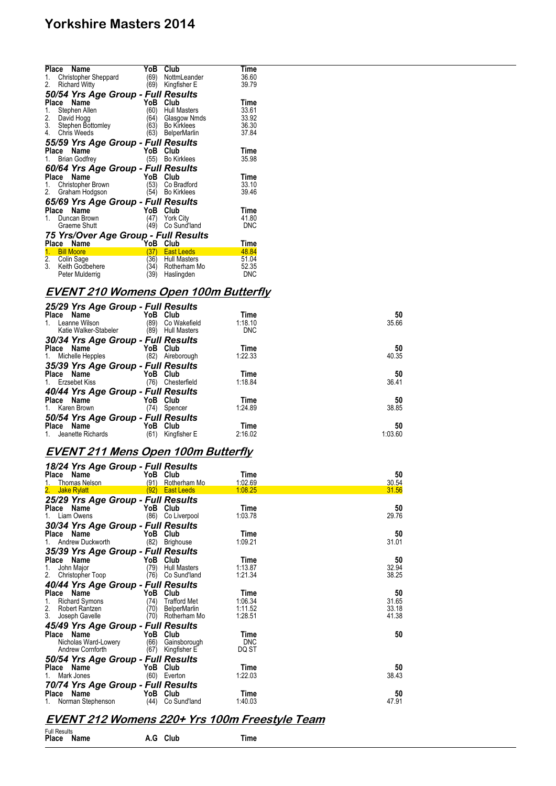|                 | Place<br>Name                                      | YoB          | Club                       | Time                |
|-----------------|----------------------------------------------------|--------------|----------------------------|---------------------|
| 1.              | Christopher Sheppard                               | '69)         | NottmLeander               | 36.60               |
| 2.              | <b>Richard Witty</b>                               | (69)         | Kingfisher E               | 39.79               |
|                 | 50/54 Yrs Age Group - Full Results                 |              |                            |                     |
| Place           | Name                                               | YoB          | Club                       | Time                |
| 1.              | Stephen Allen                                      | (60          | <b>Hull Masters</b>        | 33.61               |
| $\frac{2}{3}$ . | David Hogg                                         | '64)         | Glasgow Nmds               | 33.92               |
|                 | Stephen Bottomley                                  | (63          | <b>Bo Kirklees</b>         | 36.30               |
| 4.              | <b>Chris Weeds</b>                                 | (63)         | <b>BelperMarlin</b>        | 37.84               |
|                 | 55/59 Yrs Age Group - Full Results                 |              |                            |                     |
| Place           | Name                                               | YoB          | Club                       | Time                |
| 1.              | <b>Brian Godfrey</b>                               | (55)         | <b>Bo Kirklees</b>         | 35.98               |
|                 | 60/64 Yrs Age Group - Full Results                 |              |                            |                     |
| Place           | Name                                               | YoB          | Club                       | Time                |
|                 |                                                    |              |                            |                     |
| 1.              | Christopher Brown                                  | (53)         | Co Bradford                | 33.10               |
| 2.              | Graham Hodgson                                     | (54)         | <b>Bo Kirklees</b>         | 39.46               |
|                 |                                                    |              |                            |                     |
| <b>Place</b>    | 65/69 Yrs Age Group - Full Results<br>Name         | YoB          | Club                       | Time                |
| 1.              | Duncan Brown                                       | (47)         | <b>York City</b>           | 41.80               |
|                 | Graeme Shutt                                       | (49)         | Co Sund'land               | <b>DNC</b>          |
|                 |                                                    |              |                            |                     |
|                 | 75 Yrs/Over Age Group - Full Results<br>Place Name | YoB          | Club                       | Time                |
| 1.              | <b>Bill Moore</b>                                  | (37)         | <b>East Leeds</b>          | 48.84               |
| 2.              | Colin Sage                                         | (36)         | <b>Hull Masters</b>        | 51.04               |
| 3.              | Keith Godbehere<br>Peter Mulderrig                 | (34)<br>(39) | Rotherham Mo<br>Haslingden | 52.35<br><b>DNC</b> |

### **EVENT 210 Womens Open 100m Butterfly**

#### *25/29 Yrs Age Group - Full Results*

| $20/20$ $110/190$ $0.000$<br>Place Name<br>Leanne Wilson<br>1.<br>Katie Walker-Stabeler | , ,,,,,,,,,,,,<br>YoB<br>Club<br>(89)<br>Co Wakefield<br>(89)<br><b>Hull Masters</b> | Time<br>1:18.10<br><b>DNC</b> | 50<br>35.66   |
|-----------------------------------------------------------------------------------------|--------------------------------------------------------------------------------------|-------------------------------|---------------|
| 30/34 Yrs Age Group - Full Results<br>Place Name<br>1. Michelle Hepples                 | YoB Club<br>(82)<br>Aireborough                                                      | Time<br>1:22.33               | 50<br>40.35   |
| 35/39 Yrs Age Group - Full Results<br>Place Name<br>1. Erzsebet Kiss                    | YoB Club<br>(76)<br>Chesterfield                                                     | Time<br>1:18.84               | 50<br>36.41   |
| 40/44 Yrs Age Group - Full Results<br>Place Name<br>1. Karen Brown                      | YoB Club<br>(74)<br>Spencer                                                          | Time<br>1:24.89               | 50<br>38.85   |
| 50/54 Yrs Age Group - Full Results<br>Place Name<br>1. Jeanette Richards                | YoB<br>Club<br>(61)<br>Kingfisher E                                                  | Time<br>2:16.02               | 50<br>1:03.60 |

## **EVENT 211 Mens Open 100m Butterfly**

| 18/24 Yrs Age Group - Full Results |          |                     |            |       |
|------------------------------------|----------|---------------------|------------|-------|
| Place Name                         |          | YoB Club            | Time       | 50    |
| <b>Thomas Nelson</b>               | (91)     | Rotherham Mo        | 1:02.69    | 30.54 |
| 2.<br><b>Jake Rylatt</b>           | (92)     | <b>East Leeds</b>   | 1:08.25    | 31.56 |
| 25/29 Yrs Age Group - Full Results |          |                     |            |       |
| Place Name                         | YoB      | Club                | Time       | 50    |
| Liam Owens                         | (86)     | Co Liverpool        | 1:03.78    | 29.76 |
| 30/34 Yrs Age Group - Full Results |          |                     |            |       |
| Place Name                         |          | YoB Club            | Time       | 50    |
| Andrew Duckworth                   | (82)     | Brighouse           | 1:09.21    | 31.01 |
| 35/39 Yrs Age Group - Full Results |          |                     |            |       |
| Place Name                         |          | YoB Club            | Time       | 50    |
| John Major<br>1.                   | (79)     | <b>Hull Masters</b> | 1:13.87    | 32.94 |
| 2.<br>Christopher Toop             | (76)     | Co Sund'land        | 1:21.34    | 38.25 |
| 40/44 Yrs Age Group - Full Results |          |                     |            |       |
| Place Name                         | YoB      | Club                | Time       | 50    |
| 1.<br>Richard Symons               | (74)     | <b>Trafford Met</b> | 1:06.34    | 31.65 |
| 2.<br>Robert Rantzen               | (70)     | <b>BelperMarlin</b> | 1:11.52    | 33.18 |
| 3.<br>Joseph Gavelle               | (70)     | Rotherham Mo        | 1:28.51    | 41.38 |
| 45/49 Yrs Age Group - Full Results |          |                     |            |       |
| Place Name                         | YoB Club |                     | Time       | 50    |
| Nicholas Ward-Lowery               | (66)     | Gainsborough        | <b>DNC</b> |       |
| Andrew Cornforth                   | (67)     | Kingfisher E        | DQ ST      |       |
| 50/54 Yrs Age Group - Full Results |          |                     |            |       |
| Place Name                         | YoB      | Club                | Time       | 50    |
| Mark Jones<br>1.                   | (60)     | Everton             | 1:22.03    | 38.43 |
| 70/74 Yrs Age Group - Full Results |          |                     |            |       |
| Place Name                         | YoB Club |                     | Time       | 50    |
| Norman Stephenson                  | (44)     | Co Sund'land        | 1:40.03    | 47.91 |
|                                    |          |                     |            |       |

### **EVENT 212 Womens 220+ Yrs 100m Freestyle Team**

Full Results **Place Name A.G Club Time**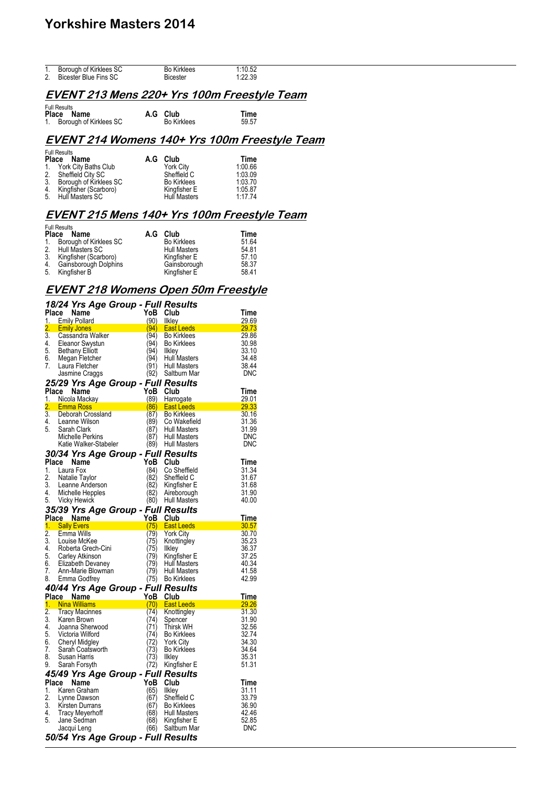| 1. | Borough of Kirklees SC | <b>Bo Kirklees</b> | 1:10.52 |
|----|------------------------|--------------------|---------|
|    | Bicester Blue Fins SC  | <b>Bicester</b>    | 1:22.39 |

### **EVENT 213 Mens 220+ Yrs 100m Freestyle Team**

Full Results **Place Name A.G Club Time** 1. Borough of Kirklees SC Bo Kirklees 59.57

### **EVENT 214 Womens 140+ Yrs 100m Freestyle Team**

|    | <b>Full Results</b><br>Place Name | A.G Club            | Time    |
|----|-----------------------------------|---------------------|---------|
|    | 1. York City Baths Club           | York City           | 1:00.66 |
|    | 2. Sheffield City SC              | Sheffield C         | 1:03.09 |
| 3. | Borough of Kirklees SC            | <b>Bo Kirklees</b>  | 1:03.70 |
|    | 4. Kingfisher (Scarboro)          | Kingfisher E        | 1:05.87 |
|    | 5. Hull Masters SC                | <b>Hull Masters</b> | 1.17.74 |

### **EVENT 215 Mens 140+ Yrs 100m Freestyle Team**

|            | <b>Full Results</b>      |                     |       |
|------------|--------------------------|---------------------|-------|
| Place Name |                          | A.G Club            | Time  |
| 1.         | Borough of Kirklees SC   | <b>Bo Kirklees</b>  | 51.64 |
|            | 2. Hull Masters SC       | <b>Hull Masters</b> | 54.81 |
|            | 3. Kingfisher (Scarboro) | Kingfisher E        | 57.10 |
|            | 4. Gainsborough Dolphins | Gainsborough        | 58.37 |
| 5.         | Kingfisher B             | Kingfisher E        | 58.41 |

#### **EVENT 218 Womens Open 50m Freestyle**

|                  | 18/24 Yrs Age Group - Full Results                                                            |                    |                                       |                |
|------------------|-----------------------------------------------------------------------------------------------|--------------------|---------------------------------------|----------------|
| Place            | Name<br>1. Emily Pollard                                                                      | YoB<br>(90) Ilkley | Club                                  | Time<br>29.69  |
| 2.               | <b>Emily Jones</b>                                                                            | (94)               | <b>East Leeds</b>                     | 29.73          |
| $\overline{3}$ . | Cassandra Walker                                                                              | (94)               | <b>Bo Kirklees</b>                    | 29.86          |
|                  |                                                                                               | (94)               | <b>Bo Kirklees</b>                    | 30.98          |
|                  | 4. Eleanor Swystun<br>5. Bethany Elliott<br>6. Megan Fletcher                                 | (94)               | Ilkley                                | 33.10          |
|                  |                                                                                               | (94)               | <b>Hull Masters</b>                   | 34.48          |
| 7.               | Laura Fletcher                                                                                | (91)               | <b>Hull Masters</b>                   | 38.44          |
|                  | Jasmine Craggs                                                                                | (92)               | Saltburn Mar                          | <b>DNC</b>     |
|                  | 25/29 Yrs Age Group - Full Results                                                            |                    |                                       |                |
|                  | Place Name                                                                                    | YoB Club           |                                       | Time           |
|                  | 1. Nicola Mackay                                                                              | (89)               | Harrogate                             | 29.01<br>29.33 |
|                  | 2. Emma Ross<br>3. Deborah Crossland                                                          | (87)               | (86) East Leeds<br><b>Bo Kirklees</b> | 30.16          |
|                  | 4. Leanne Wilson                                                                              | (89)               | Co Wakefield                          | 31.36          |
| 5.               | Sarah Clark                                                                                   | (87)               | <b>Hull Masters</b>                   | 31.99          |
|                  | Michelle Perkins                                                                              | (87)               | <b>Hull Masters</b>                   | <b>DNC</b>     |
|                  | Katie Walker-Stabeler                                                                         | (89)               | <b>Hull Masters</b>                   | <b>DNC</b>     |
|                  | 30/34 Yrs Age Group - Full Results                                                            |                    |                                       |                |
|                  | Place Name                                                                                    | YoB                | Club                                  | Time           |
| 1.               | Laura Fox                                                                                     | (84)               | Co Sheffield                          | 31.34          |
| 2.               | Natalie Taylor                                                                                | (82)               | Sheffield C                           | 31.67          |
| 3.               | Leanne Anderson                                                                               | (82)               | Kingfisher E                          | 31.68          |
| 4.               | Michelle Hepples                                                                              | (82)               | Aireborough                           | 31.90          |
| 5.               | Vicky Hewick                                                                                  |                    | (80) Hull Masters                     | 40.00          |
|                  | 35/39 Yrs Age Group - Full Results                                                            |                    |                                       |                |
|                  | <b>Place Name</b>                                                                             | YoB                | Club                                  | Time           |
|                  | 1. Sally Evers                                                                                | (75)               | <b>East Leeds</b>                     | 30.57          |
| $\frac{2}{3}$ .  | Emma Wills                                                                                    | (79)               | <b>York City</b>                      | 30.70          |
|                  | 3. Louise McKee<br>4. Roberta Grech-Cini                                                      | (75)               | Knottingley                           | 35.23          |
|                  |                                                                                               | (75)               | Ilkley                                | 36.37          |
|                  | 5. Carley Atkinson<br>6. Elizabeth Devaney                                                    | (79)               | Kingfisher E                          | 37.25          |
| 7.               | Ann-Marie Blowman                                                                             | (79)<br>(79)       | <b>Hull Masters</b><br>Hull Masters   | 40.34<br>41.58 |
|                  | 8. Emma Godfrey                                                                               |                    | (75) Bo Kirklees                      | 42.99          |
|                  |                                                                                               |                    |                                       |                |
|                  | 40/44 Yrs Age Group - Full Results<br>Place Name YoB Club<br>1. Nina Williams (70) East Leeds |                    |                                       | <b>Time</b>    |
|                  |                                                                                               |                    |                                       | 29.26          |
| $\overline{2}$ . | <b>Tracy Macinnes</b>                                                                         | (74)               | Knottingley                           | 31.30          |
| 3.               | Karen Brown                                                                                   | (74)               | Spencer                               | 31.90          |
|                  | 4. Joanna Sherwood<br>5. Victoria Wilford                                                     | (71)               | <b>Thirsk WH</b>                      | 32.56          |
|                  |                                                                                               | (74)               | <b>Bo Kirklees</b>                    | 32.74          |
| 6.               | Cheryl Midgley<br>Sarah Coatsworth                                                            | (72)               | <b>York City</b>                      | 34.30          |
| 7.               |                                                                                               | (73)               | <b>Bo Kirklees</b>                    | 34.64          |
| 8.<br>9.         | Susan Harris<br>Sarah Forsyth                                                                 | (73)<br>(72)       | Ilkley<br>Kingfisher E                | 35.31<br>51.31 |
|                  |                                                                                               |                    |                                       |                |
| Place            | 45/49 Yrs Age Group - Full Results<br>Name                                                    | YoB                | Club                                  | Time           |
| 1.               | Karen Graham                                                                                  | (65)               | Ilkley                                | 31.11          |
|                  |                                                                                               | (67)               | Sheffield C                           | 33.79          |
|                  | 2. Lynne Dawson<br>3. Kirsten Durrans                                                         | (67)               | <b>Bo Kirklees</b>                    | 36.90          |
|                  | 4. Tracy Meyerhoff                                                                            | (68)               | Hull Masters                          | 42.46          |
| 5.               | Jane Sedman                                                                                   | (68)               | Kingfisher E                          | 52.85          |
|                  | Jacqui Leng                                                                                   | (66)               | Saltburn Mar                          | DNC            |
|                  | 50/54 Yrs Age Group - Full Results                                                            |                    |                                       |                |
|                  |                                                                                               |                    |                                       |                |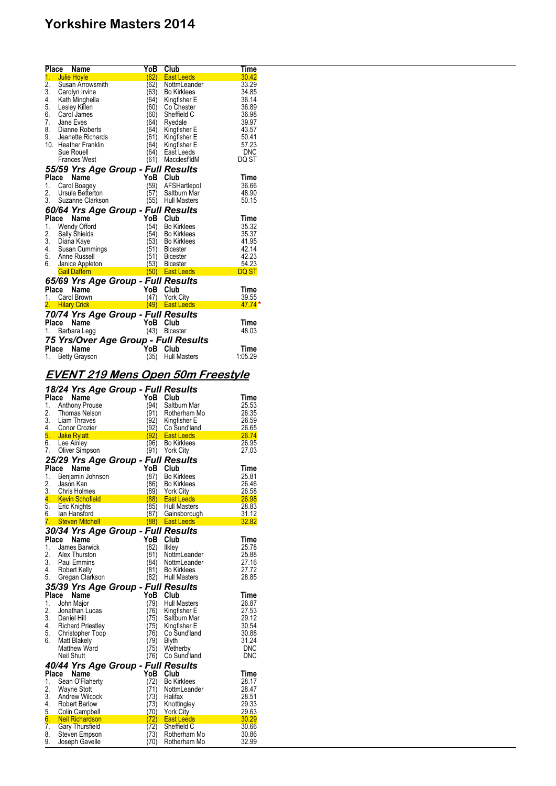| <b>Place</b>    | Name                                 | YoB      | Club                | Time       |
|-----------------|--------------------------------------|----------|---------------------|------------|
| 1 <sub>1</sub>  | <b>Julie Hoyle</b>                   | (62)     | <b>East Leeds</b>   | 30.42      |
| $\frac{2}{3}$ . | Susan Arrowsmith                     | 62)      | NottmLeander        | 33.29      |
|                 | Carolyn Irvine                       | 63)      | <b>Bo Kirklees</b>  | 34.85      |
| 4.              | Kath Minghella                       | 64)      | Kingfisher E        | 36.14      |
| 5.              | Lesley Killen                        | 60)      | Co Chester          | 36.89      |
| 6.              | Carol James                          | 60)      | Sheffield C         | 36.98      |
| 7.              | Jane Eves                            | 64)      | Ryedale             | 39.97      |
| 8.              | Dianne Roberts                       | 64)      | Kingfisher E        | 43.57      |
| 9.              | Jeanette Richards                    | '61)     | Kingfisher E        | 50.41      |
|                 | 10. Heather Franklin                 | 64)      | Kingfisher E        | 57.23      |
|                 | Sue Rouell                           | (64)     | East Leeds          | <b>DNC</b> |
|                 | <b>Frances West</b>                  | (61)     | MacclesfldM         | DQ ST      |
|                 | 55/59 Yrs Age Group - Full Results   |          |                     |            |
| Place           | Name                                 | YoB      | Club                | Time       |
| 1.              | Carol Boagey                         | (59)     | AFSHartlepol        | 36.66      |
| 2.              | Ursula Betterton                     | '57)     | Saltburn Mar        | 48.90      |
|                 | 3. Suzanne Clarkson                  | (55)     | <b>Hull Masters</b> | 50.15      |
|                 | 60/64 Yrs Age Group - Full Results   |          |                     |            |
|                 | Place<br>Name                        | YoB      | Club                | Time       |
| 1.              | Wendy Offord                         | (54)     | <b>Bo Kirklees</b>  | 35.32      |
| 2.              | <b>Sally Shields</b>                 | 54)      | <b>Bo Kirklees</b>  | 35.37      |
| 3.              | Diana Kaye                           | (53)     | <b>Bo Kirklees</b>  | 41.95      |
| 4.              | Susan Cummings                       | (51)     | <b>Bicester</b>     | 42.14      |
| 5.              | Anne Russell                         | (51)     | <b>Bicester</b>     | 42.23      |
| 6.              | Janice Appleton                      | 53)      | <b>Bicester</b>     | 54.23      |
|                 | <b>Gail Daffern</b>                  | 50)      | <b>East Leeds</b>   | DQ ST      |
|                 | 65/69 Yrs Age Group - Full Results   |          |                     |            |
|                 | Place<br>Name                        | YoB Club |                     | Time       |
| 1.              | Carol Brown                          | (47)     | <b>York City</b>    | 39.55      |
|                 | 2. Hilary Crick                      |          | (49) East Leeds     | $47.74*$   |
|                 | 70/74 Yrs Age Group - Full Results   |          |                     |            |
| Place           | Name                                 | YoB      | Club                | Time       |
| 1.              | Barbara Legg                         | (43)     | <b>Bicester</b>     | 48.03      |
|                 | 75 Yrs/Over Age Group - Full Results |          |                     |            |
|                 | Place<br>Name                        | YoB Club |                     | Time       |
| 1.              | <b>Betty Grayson</b>                 | (35)     | <b>Hull Masters</b> | 1:05.29    |

## **EVENT 219 Mens Open 50m Freestyle**

|              | 18/24 Yrs Age Group - Full Results |               |                     |            |
|--------------|------------------------------------|---------------|---------------------|------------|
|              | <b>Name</b><br>Place               | YoB           | Club                | Time       |
| 1.           | <b>Anthony Prouse</b>              | (94)          | Saltburn Mar        | 25.53      |
| 2.           | <b>Thomas Nelson</b>               | (91)          | Rotherham Mo        | 26.35      |
| 3.           | Liam Thraves                       | (92)          | Kingfisher E        | 26.59      |
| 4.           | Conor Crozier                      | (92)          | Co Sund'land        | 26.65      |
| 5.           | Jake Rylatt                        | (92)          | <b>East Leeds</b>   | 26.74      |
| 6.           | <b>Lee Ainley</b>                  | (96)          | <b>Bo Kirklees</b>  | 26.95      |
| 7.           | Oliver Simpson                     | (91)          | <b>York City</b>    | 27.03      |
|              | 25/29 Yrs Age Group - Full Results |               |                     |            |
| <b>Place</b> | Name                               | YoB           | Club                | Time       |
| 1.           | Benjamin Johnson                   | (87)          | <b>Bo Kirklees</b>  | 25.81      |
| 2.           | Jason Kan                          | 86)           | <b>Bo Kirklees</b>  | 26.46      |
| 3.           | Chris Holmes                       | (89)          | <b>York City</b>    | 26.58      |
|              | 4. Kevin Schofield                 | (88)          | <b>East Leeds</b>   | 26.98      |
| 5.           | Eric Knights                       | (85)          | <b>Hull Masters</b> | 28.83      |
|              | 6. Ian Hansford                    | (87)          | Gainsborough        | 31.12      |
|              | 7. Steven Mitchell                 |               | (88) East Leeds     | 32.82      |
|              | 30/34 Yrs Age Group - Full Results |               |                     |            |
| <b>Place</b> | Name                               | YoB           | Club                | Time       |
| 1.           | James Barwick                      | (82)          | Ilkley              | 25.78      |
| 2.           | Alex Thurston                      | (81)          | NottmLeander        | 25.88      |
| 3.           | Paul Emmins                        | (84)          | NottmLeander        | 27.16      |
| 4.           | Robert Kelly                       | (81)          | <b>Bo Kirklees</b>  | 27.72      |
| 5.           | Gregan Clarkson                    | (82)          | <b>Hull Masters</b> | 28.85      |
|              | 35/39 Yrs Age Group - Full Results |               |                     |            |
| Place        | Name                               | YoB           | Club                | Time       |
| 1.           | John Major                         | (79)          | <b>Hull Masters</b> | 26.87      |
| 2.           | Jonathan Lucas                     | (76)          | Kingfisher E        | 27.53      |
| 3.           | Daniel Hill                        | 75)           | Saltburn Mar        | 29.12      |
| 4.           | <b>Richard Priestley</b>           | (75)          | Kingfisher E        | 30.54      |
| 5.           | Christopher Toop                   | (76)          | Co Sund'land        | 30.88      |
| 6.           | <b>Matt Blakely</b>                | '79)          | <b>Blyth</b>        | 31.24      |
|              | <b>Matthew Ward</b>                | 75)           | Wetherby            | <b>DNC</b> |
|              | Neil Shutt                         | (76)          | Co Sund'land        | <b>DNC</b> |
|              | 40/44 Yrs Age Group - Full Results |               |                     |            |
| Place        | Name                               | YoB           | Club                | Time       |
| 1.           | Sean O'Flaherty                    | (72)          | <b>Bo Kirklees</b>  | 28.17      |
| 2.           | <b>Wayne Stott</b>                 | (71)          | NottmLeander        | 28.47      |
| 3.           | <b>Andrew Wilcock</b>              | (73)          | Halifax             | 28.51      |
| 4.           | Robert Barlow                      | 73)           | Knottingley         | 29.33      |
| 5.           | <b>Colin Campbell</b>              | (70)          | <b>York City</b>    | 29.63      |
| 6.           | <b>Neil Richardson</b>             | $\mathsf{72}$ | <b>East Leeds</b>   | 30.29      |
| 7.           | <b>Gary Thursfield</b>             | '72)          | Sheffield C         | 30.66      |
| 8.           | Steven Empson                      | 73)           | Rotherham Mo        | 30.86      |
| 9.           | Joseph Gavelle                     | (70)          | Rotherham Mo        | 32.99      |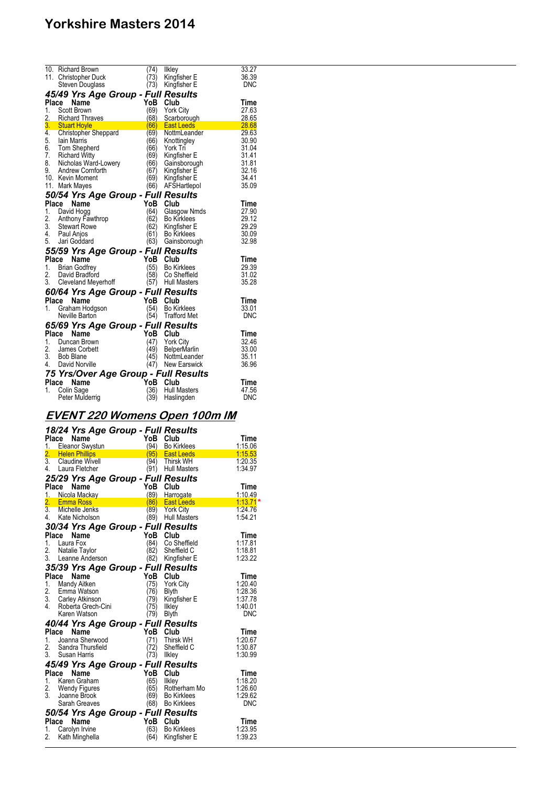|       | 10. Richard Brown                              | (74) | likley              | 33.27          |
|-------|------------------------------------------------|------|---------------------|----------------|
|       | 11. Christopher Duck                           | (73) | Kingfisher E        | 36.39          |
|       | Steven Douglass                                | (73) | Kingfisher E        | <b>DNC</b>     |
|       | 45/49 Yrs Age Group - Full Results             |      |                     |                |
|       | Place<br>Name                                  |      | YoB Club            | Time           |
| 1.    | Scott Brown                                    | (69) |                     | 27.63          |
|       |                                                |      | <b>York City</b>    |                |
| 2.    | 2. Richard Thraves<br>3. Stuart Hoyle          | (68) | Scarborough         | 28.65          |
|       |                                                | (66) | <b>East Leeds</b>   | 28.68          |
| 4.    | <b>Christopher Sheppard</b>                    | (69) | NottmLeander        | 29.63          |
| 5.    | lain Marris<br>Tom Shepherd                    | (66) | Knottingley         | 30.90          |
| 6.    |                                                | (66) | York Tri            | 31.04          |
|       | 7. Richard Witty                               | (69) | Kingfisher E        | 31.41          |
|       | 8. Nicholas Ward-Lowery<br>9. Andrew Cornforth | (66) | Gainsborough        | 31.81          |
|       |                                                | (67) | Kingfisher E        | 32.16          |
|       | 10. Kevin Moment                               | (69) | Kingfisher E        | 34.41          |
|       | 11. Mark Mayes                                 | (66) | AFSHartlepol        | 35.09          |
|       | 50/54 Yrs Age Group - Full Results             |      |                     |                |
|       | Place<br>Name                                  | YoB  | Club                | Time           |
| 1.    | David Hogg                                     | (64) | Glasgow Nmds        | 27.90          |
| 2.    | Anthony Fawthrop                               | (62) | <b>Bo Kirklees</b>  | 29.12          |
|       |                                                | (62) | Kingfisher E        | 29.29          |
|       | 3. Stewart Rowe<br>4. Paul Anjos               | (61) | Bo Kirklees         | 30.09          |
|       | 5. Jari Goddard                                | (63) | Gainsborough        | 32.98          |
|       |                                                |      |                     |                |
| Place | 55/59 Yrs Age Group - Full Results<br>Name     | YoB  | Club                | Time           |
|       |                                                |      |                     |                |
|       | 1. Brian Godfrey                               | (55) | <b>Bo Kirklees</b>  | 29.39          |
|       | 2. David Bradford                              |      | (58) Co Sheffield   | 31.02<br>35.28 |
|       | 3. Cleveland Meyerhoff                         |      | (57) Hull Masters   |                |
|       | 60/64 Yrs Age Group - Full Results             |      |                     |                |
|       | Place<br>Name                                  |      | YoB Club            | Time           |
| 1.    | Graham Hodgson                                 |      | (54) Bo Kirklees    | 33.01          |
|       | Neville Barton                                 |      | (54) Trafford Met   | <b>DNC</b>     |
|       | 65/69 Yrs Age Group - Full Results             |      |                     |                |
|       | Place<br>Name                                  |      | YoB Club            | Time           |
|       | 1. Duncan Brown                                | (47) | <b>York City</b>    | 32.46          |
|       | 2. James Corbett                               | (49) | BelperMarlin        | 33.00          |
|       | 3. Bob Blane                                   | (45) | NottmLeander        | 35.11          |
|       | 4. David Norville                              |      | (47) New Earswick   | 36.96          |
|       |                                                |      |                     |                |
|       | 75 Yrs/Over Age Group - Full Results           |      |                     |                |
|       | Place<br>Name                                  | YoB  | Club                | Time           |
| 1.    | Colin Sage                                     | (36) | <b>Hull Masters</b> | 47.56          |
|       | Peter Mulderrig                                | (39) | Haslingden          | <b>DNC</b>     |

## **EVENT 220 Womens Open 100m IM**

## *18/24 Yrs Age Group - Full Results*

|                |       | 10/24 115 Age Group - Fuil Results   |                                    |      |                    |            |
|----------------|-------|--------------------------------------|------------------------------------|------|--------------------|------------|
|                | Place | Name                                 |                                    |      | YoB Club           | Time       |
|                |       | 1. Eleanor Swystun                   |                                    | (94) | <b>Bo Kirklees</b> | 1:15.06    |
| 2.             |       | <b>Helen Phillips</b>                |                                    |      | (95) East Leeds    | 1:15.53    |
|                |       | 3. Claudine Wivell                   |                                    |      | (94) Thirsk WH     | 1:20.35    |
|                |       | 4. Laura Fletcher                    |                                    |      | (91) Hull Masters  | 1:34.97    |
|                |       |                                      | 25/29 Yrs Age Group - Full Results |      |                    |            |
| Place          |       | Name                                 |                                    |      | YoB Club           | Time       |
|                |       | 1. Nicola Mackay                     |                                    | (89) | Harrogate          | 1:10.49    |
|                |       | 2. Emma Ross                         |                                    | (86) | <b>East Leeds</b>  | $1:13.71*$ |
|                |       | 3. Michelle Jenks                    |                                    |      | (89) York City     | 1:24.76    |
|                |       | 4. Kate Nicholson                    |                                    |      | (89) Hull Masters  | 1:54.21    |
|                |       |                                      |                                    |      |                    |            |
|                |       |                                      | 30/34 Yrs Age Group - Full Results |      |                    |            |
| Place          |       | Name                                 |                                    | YoB  | Club               | Time       |
| 1.             |       | Laura Fox                            |                                    | (84) | Co Sheffield       | 1:17.81    |
| 2.             |       | Natalie Taylor                       |                                    | (82) | Sheffield C        | 1:18.81    |
|                |       | 3. Leanne Anderson                   |                                    |      | (82) Kingfisher E  | 1:23.22    |
|                |       |                                      | 35/39 Yrs Age Group - Full Results |      |                    |            |
| Place          |       | Name                                 |                                    | YoB  | Club               | Time       |
| 1.             |       | Mandy Aitken                         |                                    | (75) | <b>York City</b>   | 1:20.40    |
|                |       | 2. Emma Watson<br>3. Carley Atkinson |                                    | (76) | <b>Blyth</b>       | 1:28.36    |
|                |       |                                      |                                    | (79) | Kingfisher E       | 1:37.78    |
|                |       | 4. Roberta Grech-Cini                |                                    | (75) | Ilkley             | 1:40.01    |
|                |       | Karen Watson                         |                                    | (79) | <b>Blyth</b>       | <b>DNC</b> |
|                |       |                                      | 40/44 Yrs Age Group - Full Results |      |                    |            |
| Place          |       | Name                                 |                                    |      | YoB Club           | Time       |
| 1 <sup>1</sup> |       | Joanna Sherwood                      |                                    | (71) | <b>Thirsk WH</b>   | 1:20.67    |
|                |       | 2. Sandra Thursfield                 |                                    | (72) | Sheffield C        | 1:30.87    |
|                |       | 3. Susan Harris                      |                                    | (73) | <b>Ilkley</b>      | 1:30.99    |
|                |       |                                      |                                    |      |                    |            |
|                |       |                                      | 45/49 Yrs Age Group - Full Results |      |                    |            |
| Place          |       | Name                                 |                                    | YoB  | Club               | Time       |
| 1.             |       | Karen Graham                         |                                    | (65) | <b>Ilkley</b>      | 1:18.20    |
|                |       | 2. Wendy Figures                     |                                    | (65) | Rotherham Mo       | 1:26.60    |
|                |       | 3. Joanne Brook                      |                                    | (69) | <b>Bo Kirklees</b> | 1:29.62    |
|                |       | Sarah Greaves                        |                                    |      | (68) Bo Kirklees   | <b>DNC</b> |
|                |       |                                      | 50/54 Yrs Age Group - Full Results |      |                    |            |
| Place          |       | Name                                 |                                    | YoB  | Club               | Time       |
| 1.             |       | Carolyn Irvine                       |                                    | (63) | <b>Bo Kirklees</b> | 1:23.95    |
| 2.             |       | Kath Minghella                       |                                    | (64) | Kingfisher E       | 1:39.23    |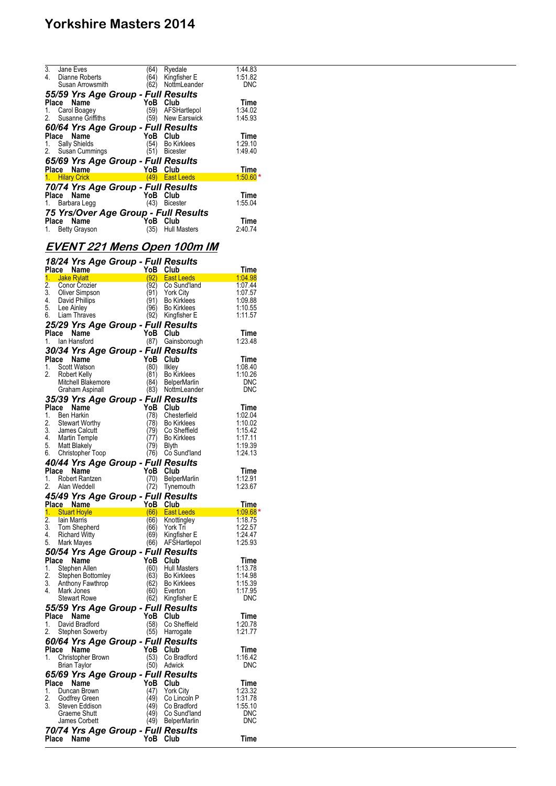| 3.                                   | Jane Eves                          | 64)  | Ryedale             | 1.44.83    |  |  |  |
|--------------------------------------|------------------------------------|------|---------------------|------------|--|--|--|
| 4.                                   | Dianne Roberts                     | 64)  | Kingfisher E        | 1:51.82    |  |  |  |
|                                      | Susan Arrowsmith                   | '62) | NottmLeander        | <b>DNC</b> |  |  |  |
|                                      |                                    |      |                     |            |  |  |  |
|                                      | 55/59 Yrs Age Group - Full Results |      |                     |            |  |  |  |
| Place                                | Name                               | YoB  | Club                | Time       |  |  |  |
|                                      | 1. Carol Boagey                    | (59) | AFSHartlepol        | 1:34.02    |  |  |  |
| 2.                                   | Susanne Griffiths                  |      | (59) New Earswick   | 1:45.93    |  |  |  |
|                                      | 60/64 Yrs Age Group - Full Results |      |                     |            |  |  |  |
|                                      |                                    | YoB  |                     |            |  |  |  |
|                                      | Place Name                         |      | Club                | Time       |  |  |  |
| 1.                                   | Sally Shields                      | (54) | <b>Bo Kirklees</b>  | 1:29.10    |  |  |  |
|                                      | 2. Susan Cummings                  | (51) | <b>Bicester</b>     | 1:49.40    |  |  |  |
|                                      | 65/69 Yrs Age Group - Full Results |      |                     |            |  |  |  |
|                                      | Place Name                         | YoB  | Club                | Time       |  |  |  |
|                                      | 1. Hilary Crick                    |      | (49) East Leeds     | $1.50.60*$ |  |  |  |
|                                      | 70/74 Yrs Age Group - Full Results |      |                     |            |  |  |  |
|                                      | Place Name                         | YoB  | Club                | Time       |  |  |  |
|                                      |                                    |      |                     |            |  |  |  |
|                                      | 1. Barbara Legg                    | (43) | <b>Bicester</b>     | 1:55.04    |  |  |  |
| 75 Yrs/Over Age Group - Full Results |                                    |      |                     |            |  |  |  |
|                                      | Place Name                         | YoB  | Club                | Time       |  |  |  |
|                                      | 1. Betty Grayson                   | (35) | <b>Hull Masters</b> | 2:40.74    |  |  |  |
|                                      |                                    |      |                     |            |  |  |  |

## **EVENT 221 Mens Open 100m IM**

|                        | 18/24 Yrs Age Group - Full Results               |              |                                           |                                         |
|------------------------|--------------------------------------------------|--------------|-------------------------------------------|-----------------------------------------|
|                        | Place Name                                       | YoB          | Club                                      | <u>Time</u>                             |
| 1.<br>$\overline{2}$ . | Jake Rylatt<br>Conor Crozier                     | (92)<br>(92) | <b>East Leeds</b><br>Co Sund'land         | 1.04.98<br>1:07.44                      |
| 3.                     | Oliver Simpson                                   | (91)         | <b>York City</b>                          | 1:07.57                                 |
| 4.                     | David Phillips                                   | (91)         | Bo Kirklees                               | 1:09.88                                 |
| 5.                     | Lee Ainley                                       | (96)         | <b>Bo Kirklees</b>                        | 1:10.55                                 |
| 6.                     | Liam Thraves                                     | (92)         | Kingfisher E                              | 1:11.57                                 |
|                        | 25/29 Yrs Age Group - Full Results<br>Place Name | YoB Club     |                                           | Time                                    |
| 1.                     | lan Hansford                                     | (87)         | Gainsborough                              | 1:23.48                                 |
|                        | 30/34 Yrs Age Group - Full Results               |              |                                           |                                         |
| Place                  | Name                                             | YoB          | Club                                      | <b>Time</b>                             |
| 1.                     | Scott Watson                                     | (80)         | likley                                    | 1:08.40                                 |
| 2.                     | <b>Robert Kelly</b>                              | (81)         | <b>Bo Kirklees</b>                        | 1:10.26                                 |
|                        | Mitchell Blakemore                               | (84)         | <b>BelperMarlin</b><br>(83) NottmLeander  | <b>DNC</b><br><b>DNC</b>                |
|                        | Graham Aspinall                                  |              |                                           |                                         |
| Place                  | 35/39 Yrs Age Group - Full Results<br>Name       | YoB          | Club                                      | Time                                    |
| 1.                     | <b>Ben Harkin</b>                                | (78)         | Chesterfield                              | 1:02.04                                 |
| 2.                     | <b>Stewart Worthy</b>                            | (78)         | <b>Bo Kirklees</b>                        | 1:10.02                                 |
| 3.                     | James Calcutt<br>Martin Temple                   | (79)         | Co Sheffield                              | 1:15.42                                 |
| 4.<br>5.               |                                                  | (77)         | Bo Kirklees                               | 1:17.11                                 |
| 6.                     | Matt Blakely<br>Christopher Toop                 | (79)<br>(76) | Blyth<br>Co Sund'land                     | 1:19.39<br>1:24.13                      |
|                        | 40/44 Yrs Age Group - Full Results               |              |                                           |                                         |
| Place                  | Name                                             | YoB          | Club                                      | Time                                    |
| 1.                     | Robert Rantzen                                   | (70)         | <b>BelperMarlin</b>                       | 1:12.91                                 |
| 2.                     | Alan Weddell                                     | (72)         | Tynemouth                                 | 1:23.67                                 |
|                        | 45/49 Yrs Age Group - Full Results               |              |                                           |                                         |
|                        | Place Name                                       | YoB          | Club                                      | Time                                    |
| $\overline{2}$ .       | 1. Stuart Hoyle<br>lain Marris                   | (66)<br>(66) | <b>East Leeds</b><br>Knottingley          | and the $1.09.68$ $^{\star}$<br>1:18.75 |
| 3.                     | Tom Shepherd                                     | (66)         | York Tri                                  | 1:22.57                                 |
| 4.                     | Richard Witty                                    | (69)         | Kingfisher E                              | 1:24.47                                 |
| 5.                     | Mark Mayes                                       | (66)         | AFSHartlepol                              | 1:25.93                                 |
|                        | 50/54 Yrs Age Group - Full Results               |              |                                           |                                         |
| Place                  | Name                                             | YoB          | Club                                      | Time                                    |
| 1.<br>2.               | Stephen Allen<br>Stephen Bottomley               | (60)<br>(63) | <b>Hull Masters</b><br><b>Bo Kirklees</b> | 1:13.78<br>1:14.98                      |
| 3.                     | Anthony Fawthrop                                 | (62)         | <b>Bo Kirklees</b>                        | 1:15.39                                 |
| 4.                     | Mark Jones                                       | (60)         | Everton                                   | 1:17.95                                 |
|                        | <b>Stewart Rowe</b>                              | (62)         | Kingfisher E                              | DNC                                     |
|                        | 55/59 Yrs Age Group - Full Results               |              |                                           |                                         |
| Place<br>1.            | Name                                             | YoB          | Club                                      | Time                                    |
| 2.                     | David Bradford<br>Stephen Sowerby                | (58)<br>(55) | Co Sheffield<br>Harrogate                 | 1:20.78<br>1:21.77                      |
|                        | 60/64 Yrs Age Group - Full Results               |              |                                           |                                         |
| Place                  | Name                                             | YoB          | Club                                      | Time                                    |
| 1.                     | Christopher Brown                                | (53)         | Co Bradford                               | 1:16.42                                 |
|                        | <b>Brian Taylor</b>                              | (50)         | Adwick                                    | DNC                                     |
|                        | 65/69 Yrs Age Group - Full Results               |              |                                           |                                         |
| Place                  | Name                                             | YoB          | Club                                      | Time                                    |
| 1.<br>2.               | Duncan Brown                                     | (47)<br>(49) | York City                                 | 1:23.32                                 |
| 3.                     | Godfrey Green<br>Steven Eddison                  | (49)         | Co Lincoln P<br>Co Bradford               | 1:31.78<br>1:55.10                      |
|                        | Graeme Shutt                                     | 49)          | Co Sund'land                              | <b>DNC</b>                              |
|                        | James Corbett                                    | (49)         | <b>BelperMarlin</b>                       | DNC                                     |
|                        | 70/74 Yrs Age Group - Full Results               |              |                                           |                                         |
| Place                  | Name                                             | YoB          | Club                                      | Time                                    |
|                        |                                                  |              |                                           |                                         |